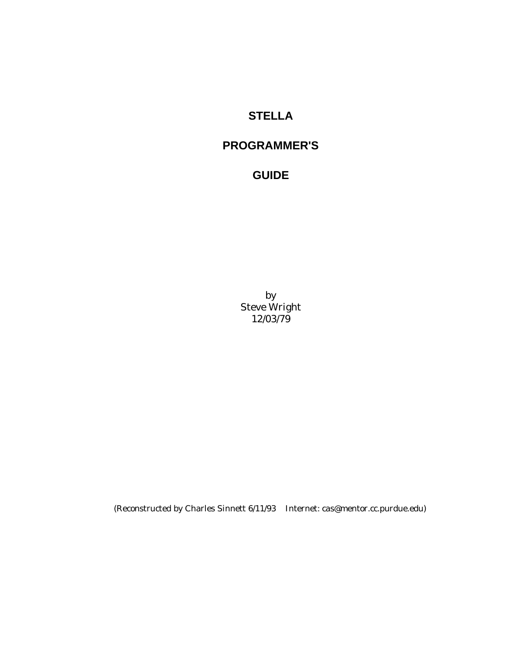# **STELLA**

# **PROGRAMMER'S**

# **GUIDE**

by Steve Wright 12/03/79

(Reconstructed by Charles Sinnett 6/11/93 Internet: cas@mentor.cc.purdue.edu)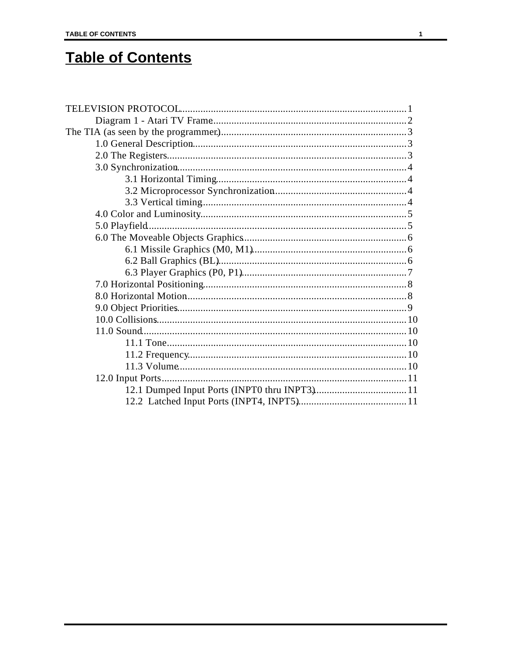# **Table of Contents**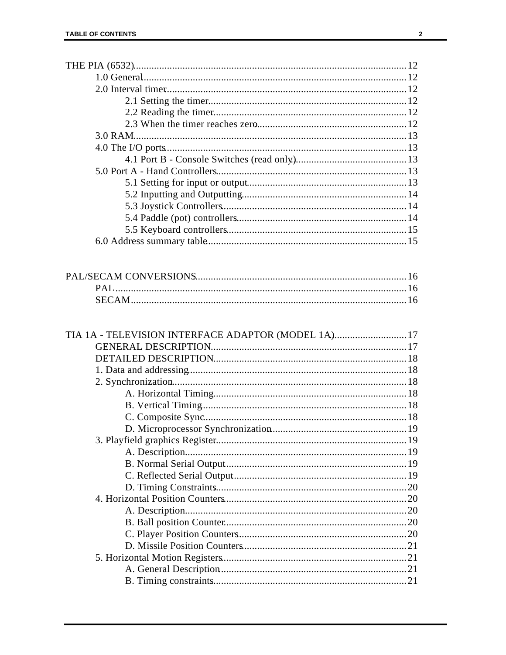| TIA 1A - TELEVISION INTERFACE ADAPTOR (MODEL 1A) 17 |  |
|-----------------------------------------------------|--|
|                                                     |  |
|                                                     |  |
|                                                     |  |
|                                                     |  |
|                                                     |  |
|                                                     |  |
|                                                     |  |
|                                                     |  |
|                                                     |  |
|                                                     |  |
|                                                     |  |
|                                                     |  |
|                                                     |  |
|                                                     |  |
|                                                     |  |
|                                                     |  |
|                                                     |  |
|                                                     |  |
|                                                     |  |
|                                                     |  |
|                                                     |  |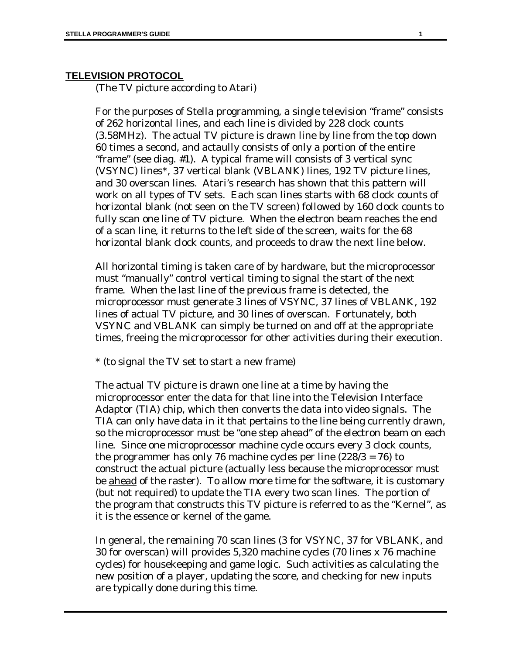#### **TELEVISION PROTOCOL**

(The TV picture according to Atari)

For the purposes of Stella programming, a single television "frame" consists of 262 horizontal lines, and each line is divided by 228 clock counts (3.58MHz). The actual TV picture is drawn line by line from the top down 60 times a second, and actaully consists of only a portion of the entire "frame" (see diag. #1). A typical frame will consists of 3 vertical sync (VSYNC) lines\*, 37 vertical blank (VBLANK) lines, 192 TV picture lines, and 30 overscan lines. Atari's research has shown that this pattern will work on all types of TV sets. Each scan lines starts with 68 clock counts of horizontal blank (not seen on the TV screen) followed by 160 clock counts to fully scan one line of TV picture. When the electron beam reaches the end of a scan line, it returns to the left side of the screen, waits for the 68 horizontal blank clock counts, and proceeds to draw the next line below.

All horizontal timing is taken care of by hardware, but the microprocessor must "manually" control vertical timing to signal the start of the next frame. When the last line of the previous frame is detected, the microprocessor must generate 3 lines of VSYNC, 37 lines of VBLANK, 192 lines of actual TV picture, and 30 lines of overscan. Fortunately, both VSYNC and VBLANK can simply be turned on and off at the appropriate times, freeing the microprocessor for other activities during their execution.

\* (to signal the TV set to start a new frame)

The actual TV picture is drawn one line at a time by having the microprocessor enter the data for that line into the Television Interface Adaptor (TIA) chip, which then converts the data into video signals. The TIA can only have data in it that pertains to the line being currently drawn, so the microprocessor must be "one step ahead" of the electron beam on each line. Since one microprocessor machine cycle occurs every 3 clock counts, the programmer has only 76 machine cycles per line (228/3 = 76) to construct the actual picture (actually less because the microprocessor must be ahead of the raster). To allow more time for the software, it is customary (but not required) to update the TIA every two scan lines. The portion of the program that constructs this TV picture is referred to as the "Kernel", as it is the essence or kernel of the game.

In general, the remaining 70 scan lines (3 for VSYNC, 37 for VBLANK, and 30 for overscan) will provides 5,320 machine cycles (70 lines x 76 machine cycles) for housekeeping and game logic. Such activities as calculating the new position of a player, updating the score, and checking for new inputs are typically done during this time.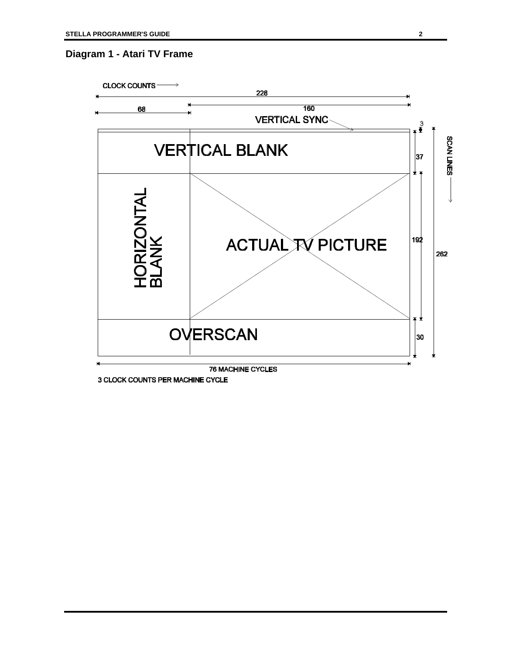### **Diagram 1 - Atari TV Frame**



3 CLOCK COUNTS PER MACHINE CYCLE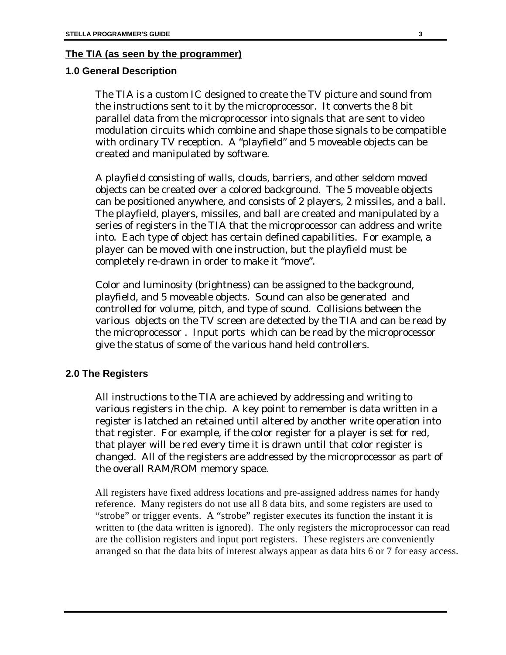#### **The TIA (as seen by the programmer)**

#### **1.0 General Description**

The TIA is a custom IC designed to create the TV picture and sound from the instructions sent to it by the microprocessor. It converts the 8 bit parallel data from the microprocessor into signals that are sent to video modulation circuits which combine and shape those signals to be compatible with ordinary TV reception. A "playfield" and 5 moveable objects can be created and manipulated by software.

A playfield consisting of walls, clouds, barriers, and other seldom moved objects can be created over a colored background. The 5 moveable objects can be positioned anywhere, and consists of 2 players, 2 missiles, and a ball. The playfield, players, missiles, and ball are created and manipulated by a series of registers in the TIA that the microprocessor can address and write into. Each type of object has certain defined capabilities. For example, a player can be moved with one instruction, but the playfield must be completely re-drawn in order to make it "move".

Color and luminosity (brightness) can be assigned to the background, playfield, and 5 moveable objects. Sound can also be generated and controlled for volume, pitch, and type of sound. Collisions between the various objects on the TV screen are detected by the TIA and can be read by the microprocessor . Input ports which can be read by the microprocessor give the status of some of the various hand held controllers.

#### **2.0 The Registers**

All instructions to the TIA are achieved by addressing and writing to various registers in the chip. A key point to remember is data written in a register is latched an retained until altered by another write operation into that register. For example, if the color register for a player is set for red, that player will be red every time it is drawn until that color register is changed. All of the registers are addressed by the microprocessor as part of the overall RAM/ROM memory space.

All registers have fixed address locations and pre-assigned address names for handy reference. Many registers do not use all 8 data bits, and some registers are used to "strobe" or trigger events. A "strobe" register executes its function the instant it is written to (the data written is ignored). The only registers the microprocessor can read are the collision registers and input port registers. These registers are conveniently arranged so that the data bits of interest always appear as data bits 6 or 7 for easy access.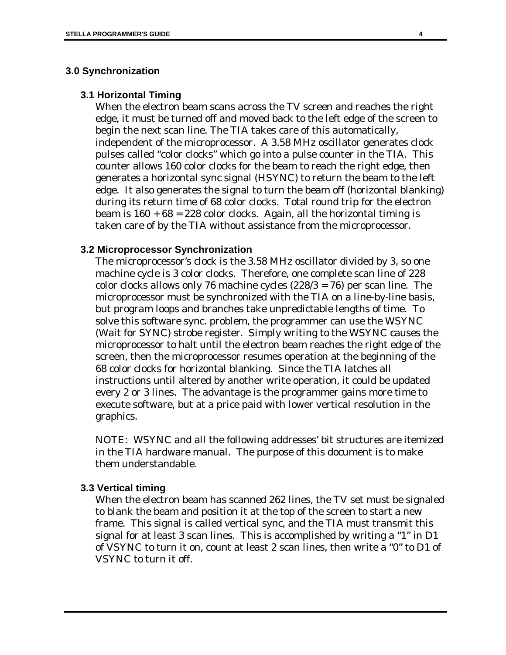#### **3.0 Synchronization**

#### **3.1 Horizontal Timing**

When the electron beam scans across the TV screen and reaches the right edge, it must be turned off and moved back to the left edge of the screen to begin the next scan line. The TIA takes care of this automatically, independent of the microprocessor. A 3.58 MHz oscillator generates clock pulses called "color clocks" which go into a pulse counter in the TIA. This counter allows 160 color clocks for the beam to reach the right edge, then generates a horizontal sync signal (HSYNC) to return the beam to the left edge. It also generates the signal to turn the beam off (horizontal blanking) during its return time of 68 color clocks. Total round trip for the electron beam is  $160 + 68 = 228$  color clocks. Again, all the horizontal timing is taken care of by the TIA without assistance from the microprocessor.

#### **3.2 Microprocessor Synchronization**

The microprocessor's clock is the 3.58 MHz oscillator divided by 3, so one machine cycle is 3 color clocks. Therefore, one complete scan line of 228 color clocks allows only 76 machine cycles (228/3 = 76) per scan line. The microprocessor must be synchronized with the TIA on a line-by-line basis, but program loops and branches take unpredictable lengths of time. To solve this software sync. problem, the programmer can use the WSYNC (Wait for SYNC) strobe register. Simply writing to the WSYNC causes the microprocessor to halt until the electron beam reaches the right edge of the screen, then the microprocessor resumes operation at the beginning of the 68 color clocks for horizontal blanking. Since the TIA latches all instructions until altered by another write operation, it could be updated every 2 or 3 lines. The advantage is the programmer gains more time to execute software, but at a price paid with lower vertical resolution in the graphics.

NOTE: WSYNC and all the following addresses' bit structures are itemized in the TIA hardware manual. The purpose of this document is to make them understandable.

#### **3.3 Vertical timing**

When the electron beam has scanned 262 lines, the TV set must be signaled to blank the beam and position it at the top of the screen to start a new frame. This signal is called vertical sync, and the TIA must transmit this signal for at least 3 scan lines. This is accomplished by writing a "1" in D1 of VSYNC to turn it on, count at least 2 scan lines, then write a "0" to D1 of VSYNC to turn it off.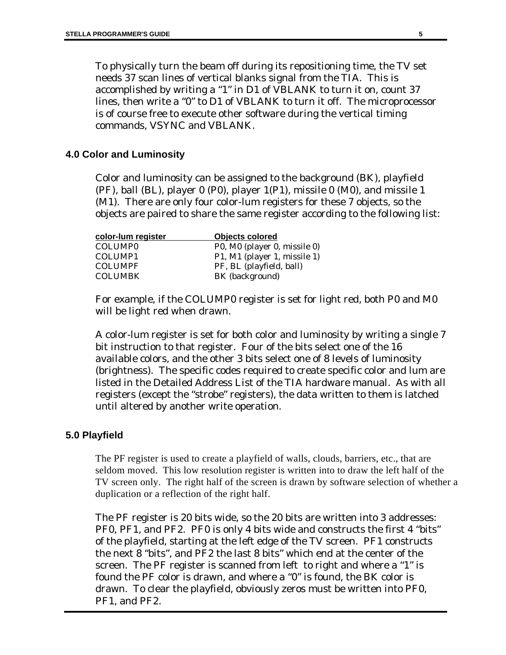To physically turn the beam off during its repositioning time, the TV set needs 37 scan lines of vertical blanks signal from the TIA. This is accomplished by writing a "1" in D1 of VBLANK to turn it on, count 37 lines, then write a "0" to D1 of VBLANK to turn it off. The microprocessor is of course free to execute other software during the vertical timing commands, VSYNC and VBLANK.

### **4.0 Color and Luminosity**

Color and luminosity can be assigned to the background (BK), playfield (PF), ball (BL), player 0 (P0), player  $1(P1)$ , missile 0 (M0), and missile 1 (M1). There are only four color-lum registers for these 7 objects, so the objects are paired to share the same register according to the following list:

| color-lum register  | <b>Objects colored</b>       |
|---------------------|------------------------------|
| COLUMP <sub>0</sub> | P0, M0 (player 0, missile 0) |
| COLUMP1             | P1, M1 (player 1, missile 1) |
| <b>COLUMPF</b>      | PF, BL (playfield, ball)     |
| <b>COLUMBK</b>      | BK (background)              |

For example, if the COLUMP0 register is set for light red, both P0 and M0 will be light red when drawn.

A color-lum register is set for both color and luminosity by writing a single 7 bit instruction to that register. Four of the bits select one of the 16 available colors, and the other 3 bits select one of 8 levels of luminosity (brightness). The specific codes required to create specific color and lum are listed in the Detailed Address List of the TIA hardware manual. As with all registers (except the "strobe" registers), the data written to them is latched until altered by another write operation.

#### **5.0 Playfield**

The PF register is used to create a playfield of walls, clouds, barriers, etc., that are seldom moved. This low resolution register is written into to draw the left half of the TV screen only. The right half of the screen is drawn by software selection of whether a duplication or a reflection of the right half.

The PF register is 20 bits wide, so the 20 bits are written into 3 addresses: PF0, PF1, and PF2. PF0 is only 4 bits wide and constructs the first 4 "bits" of the playfield, starting at the left edge of the TV screen. PF1 constructs the next 8 "bits", and PF2 the last 8 bits" which end at the center of the screen. The PF register is scanned from left to right and where a "1" is found the PF color is drawn, and where a "0" is found, the BK color is drawn. To clear the playfield, obviously zeros must be written into PF0, PF1, and PF2.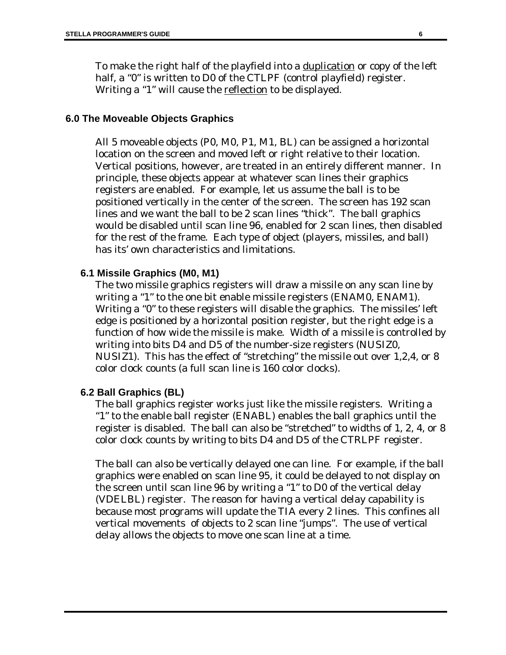To make the right half of the playfield into a <u>duplication</u> or copy of the left half, a "0" is written to D0 of the CTLPF (control playfield) register. Writing a "1" will cause the reflection to be displayed.

#### **6.0 The Moveable Objects Graphics**

All 5 moveable objects (P0, M0, P1, M1, BL) can be assigned a horizontal location on the screen and moved left or right relative to their location. Vertical positions, however, are treated in an entirely different manner. In principle, these objects appear at whatever scan lines their graphics registers are enabled. For example, let us assume the ball is to be positioned vertically in the center of the screen. The screen has 192 scan lines and we want the ball to be 2 scan lines "thick". The ball graphics would be disabled until scan line 96, enabled for 2 scan lines, then disabled for the rest of the frame. Each type of object (players, missiles, and ball) has its' own characteristics and limitations.

#### **6.1 Missile Graphics (M0, M1)**

The two missile graphics registers will draw a missile on any scan line by writing a "1" to the one bit enable missile registers (ENAM0, ENAM1). Writing a "0" to these registers will disable the graphics. The missiles' left edge is positioned by a horizontal position register, but the right edge is a function of how wide the missile is make. Width of a missile is controlled by writing into bits D4 and D5 of the number-size registers (NUSIZ0, NUSIZ1). This has the effect of "stretching" the missile out over 1,2,4, or 8 color clock counts (a full scan line is 160 color clocks).

#### **6.2 Ball Graphics (BL)**

The ball graphics register works just like the missile registers. Writing a "1" to the enable ball register (ENABL) enables the ball graphics until the register is disabled. The ball can also be "stretched" to widths of 1, 2, 4, or 8 color clock counts by writing to bits D4 and D5 of the CTRLPF register.

The ball can also be vertically delayed one can line. For example, if the ball graphics were enabled on scan line 95, it could be delayed to not display on the screen until scan line 96 by writing a "1" to D0 of the vertical delay (VDELBL) register. The reason for having a vertical delay capability is because most programs will update the TIA every 2 lines. This confines all vertical movements of objects to 2 scan line "jumps". The use of vertical delay allows the objects to move one scan line at a time.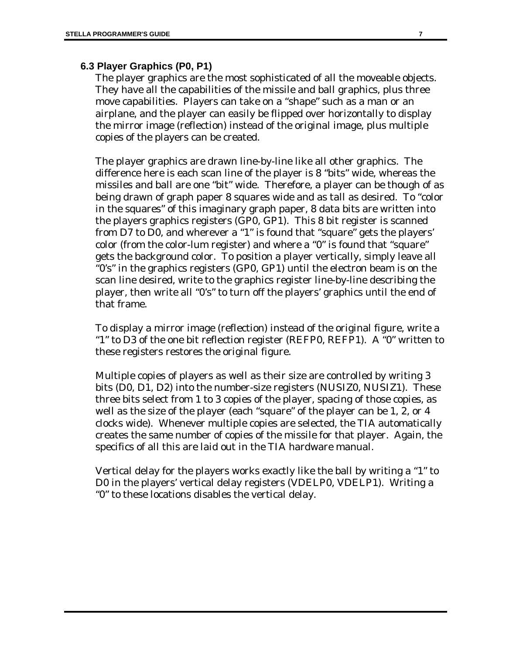#### **6.3 Player Graphics (P0, P1)**

The player graphics are the most sophisticated of all the moveable objects. They have all the capabilities of the missile and ball graphics, plus three move capabilities. Players can take on a "shape" such as a man or an airplane, and the player can easily be flipped over horizontally to display the mirror image (reflection) instead of the original image, plus multiple copies of the players can be created.

The player graphics are drawn line-by-line like all other graphics. The difference here is each scan line of the player is 8 "bits" wide, whereas the missiles and ball are one "bit" wide. Therefore, a player can be though of as being drawn of graph paper 8 squares wide and as tall as desired. To "color in the squares" of this imaginary graph paper, 8 data bits are written into the players graphics registers (GP0, GP1). This 8 bit register is scanned from D7 to D0, and wherever a "1" is found that "square" gets the players' color (from the color-lum register) and where a "0" is found that "square" gets the background color. To position a player vertically, simply leave all "0's" in the graphics registers (GP0, GP1) until the electron beam is on the scan line desired, write to the graphics register line-by-line describing the player, then write all "0's" to turn off the players' graphics until the end of that frame.

To display a mirror image (reflection) instead of the original figure, write a "1" to D3 of the one bit reflection register (REFP0, REFP1). A "0" written to these registers restores the original figure.

Multiple copies of players as well as their size are controlled by writing 3 bits (D0, D1, D2) into the number-size registers (NUSIZ0, NUSIZ1). These three bits select from 1 to 3 copies of the player, spacing of those copies, as well as the size of the player (each "square" of the player can be 1, 2, or 4 clocks wide). Whenever multiple copies are selected, the TIA automatically creates the same number of copies of the missile for that player. Again, the specifics of all this are laid out in the TIA hardware manual.

Vertical delay for the players works exactly like the ball by writing a "1" to D0 in the players' vertical delay registers (VDELP0, VDELP1). Writing a "0" to these locations disables the vertical delay.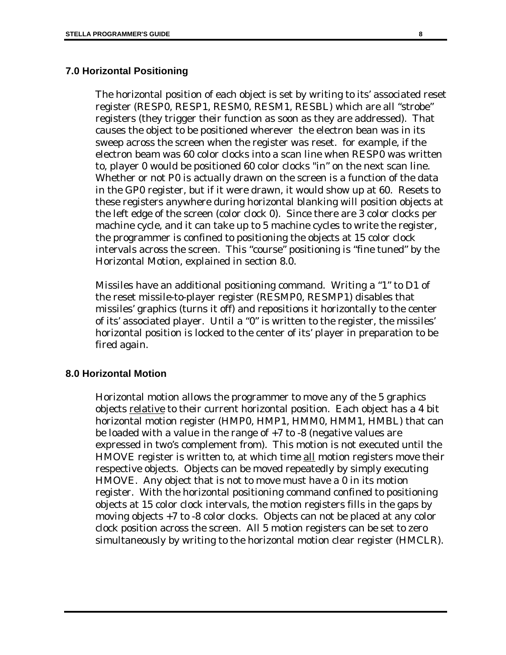#### **7.0 Horizontal Positioning**

The horizontal position of each object is set by writing to its' associated reset register (RESP0, RESP1, RESM0, RESM1, RESBL) which are all "strobe" registers (they trigger their function as soon as they are addressed). That causes the object to be positioned wherever the electron bean was in its sweep across the screen when the register was reset. for example, if the electron beam was 60 color clocks into a scan line when RESP0 was written to, player 0 would be positioned 60 color clocks "in" on the next scan line. Whether or not P0 is actually drawn on the screen is a function of the data in the GP0 register, but if it were drawn, it would show up at 60. Resets to these registers anywhere during horizontal blanking will position objects at the left edge of the screen (color clock 0). Since there are 3 color clocks per machine cycle, and it can take up to 5 machine cycles to write the register, the programmer is confined to positioning the objects at 15 color clock intervals across the screen. This "course" positioning is "fine tuned" by the Horizontal Motion, explained in section 8.0.

Missiles have an additional positioning command. Writing a "1" to D1 of the reset missile-to-player register (RESMP0, RESMP1) disables that missiles' graphics (turns it off) and repositions it horizontally to the center of its' associated player. Until a "0" is written to the register, the missiles' horizontal position is locked to the center of its' player in preparation to be fired again.

#### **8.0 Horizontal Motion**

Horizontal motion allows the programmer to move any of the 5 graphics objects relative to their current horizontal position. Each object has a 4 bit horizontal motion register (HMP0, HMP1, HMM0, HMM1, HMBL) that can be loaded with a value in the range of +7 to -8 (negative values are expressed in two's complement from). This motion is not executed until the HMOVE register is written to, at which time all motion registers move their respective objects. Objects can be moved repeatedly by simply executing HMOVE. Any object that is not to move must have a 0 in its motion register. With the horizontal positioning command confined to positioning objects at 15 color clock intervals, the motion registers fills in the gaps by moving objects +7 to -8 color clocks. Objects can not be placed at any color clock position across the screen. All 5 motion registers can be set to zero simultaneously by writing to the horizontal motion clear register (HMCLR).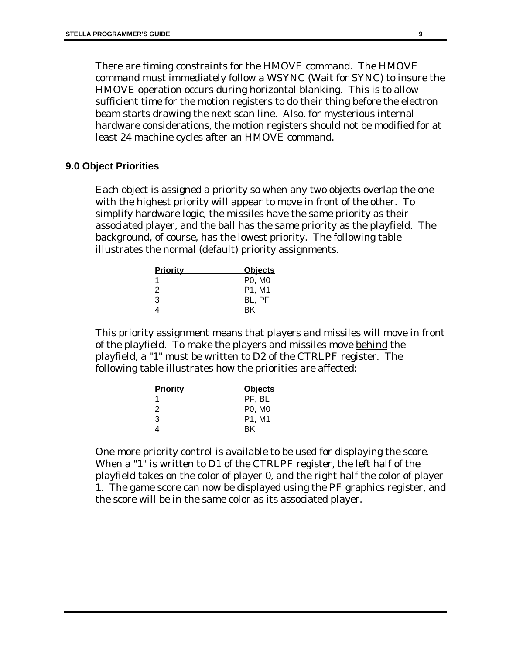There are timing constraints for the HMOVE command. The HMOVE command must immediately follow a WSYNC (Wait for SYNC) to insure the HMOVE operation occurs during horizontal blanking. This is to allow sufficient time for the motion registers to do their thing before the electron beam starts drawing the next scan line. Also, for mysterious internal hardware considerations, the motion registers should not be modified for at least 24 machine cycles after an HMOVE command.

#### **9.0 Object Priorities**

Each object is assigned a priority so when any two objects overlap the one with the highest priority will appear to move in front of the other. To simplify hardware logic, the missiles have the same priority as their associated player, and the ball has the same priority as the playfield. The background, of course, has the lowest priority. The following table illustrates the normal (default) priority assignments.

| <b>Priority</b> | <b>Objects</b> |
|-----------------|----------------|
| 1               | P0, M0         |
| 2               | P1, M1         |
| 3               | BL, PF         |
| 4               | ВK             |

This priority assignment means that players and missiles will move in front of the playfield. To make the players and missiles move behind the playfield, a "1" must be written to D2 of the CTRLPF register. The following table illustrates how the priorities are affected:

| <b>Priority</b> | <b>Objects</b>                  |
|-----------------|---------------------------------|
| 1               | PF. BL                          |
| 2               | P0, M0                          |
| 3               | P <sub>1</sub> . M <sub>1</sub> |
| 4               | <b>BK</b>                       |

One more priority control is available to be used for displaying the score. When a "1" is written to D1 of the CTRLPF register, the left half of the playfield takes on the color of player 0, and the right half the color of player 1. The game score can now be displayed using the PF graphics register, and the score will be in the same color as its associated player.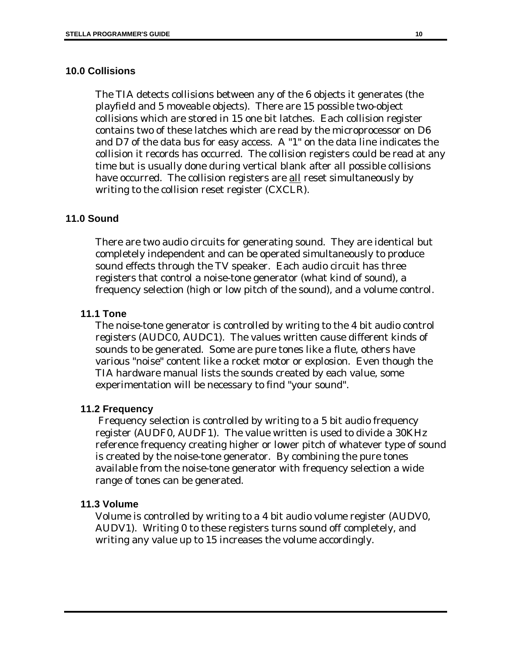### **10.0 Collisions**

The TIA detects collisions between any of the 6 objects it generates (the playfield and 5 moveable objects). There are 15 possible two-object collisions which are stored in 15 one bit latches. Each collision register contains two of these latches which are read by the microprocessor on D6 and D7 of the data bus for easy access. A "1" on the data line indicates the collision it records has occurred. The collision registers could be read at any time but is usually done during vertical blank after all possible collisions have occurred. The collision registers are all reset simultaneously by writing to the collision reset register (CXCLR).

### **11.0 Sound**

There are two audio circuits for generating sound. They are identical but completely independent and can be operated simultaneously to produce sound effects through the TV speaker. Each audio circuit has three registers that control a noise-tone generator (what kind of sound), a frequency selection (high or low pitch of the sound), and a volume control.

### **11.1 Tone**

The noise-tone generator is controlled by writing to the 4 bit audio control registers (AUDC0, AUDC1). The values written cause different kinds of sounds to be generated. Some are pure tones like a flute, others have various "noise" content like a rocket motor or explosion. Even though the TIA hardware manual lists the sounds created by each value, some experimentation will be necessary to find "your sound".

### **11.2 Frequency**

 Frequency selection is controlled by writing to a 5 bit audio frequency register (AUDF0, AUDF1). The value written is used to divide a 30KHz reference frequency creating higher or lower pitch of whatever type of sound is created by the noise-tone generator. By combining the pure tones available from the noise-tone generator with frequency selection a wide range of tones can be generated.

### **11.3 Volume**

Volume is controlled by writing to a 4 bit audio volume register (AUDV0, AUDV1). Writing 0 to these registers turns sound off completely, and writing any value up to 15 increases the volume accordingly.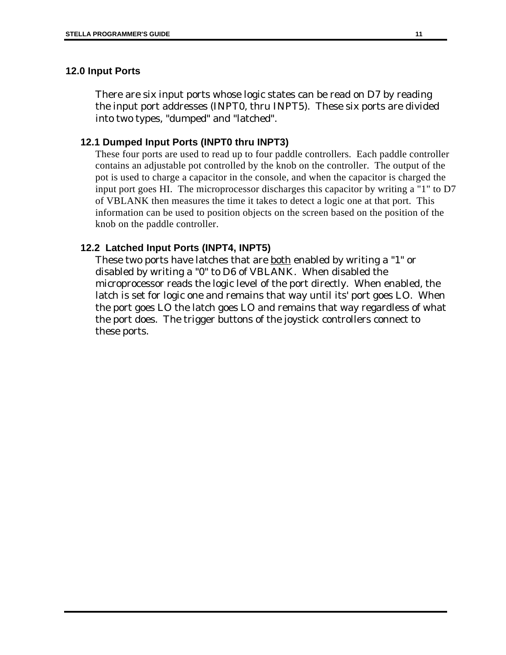### **12.0 Input Ports**

There are six input ports whose logic states can be read on D7 by reading the input port addresses (INPT0, thru INPT5). These six ports are divided into two types, "dumped" and "latched".

### **12.1 Dumped Input Ports (INPT0 thru INPT3)**

These four ports are used to read up to four paddle controllers. Each paddle controller contains an adjustable pot controlled by the knob on the controller. The output of the pot is used to charge a capacitor in the console, and when the capacitor is charged the input port goes HI. The microprocessor discharges this capacitor by writing a "1" to D7 of VBLANK then measures the time it takes to detect a logic one at that port. This information can be used to position objects on the screen based on the position of the knob on the paddle controller.

### **12.2 Latched Input Ports (INPT4, INPT5)**

These two ports have latches that are both enabled by writing a "1" or disabled by writing a "0" to D6 of VBLANK. When disabled the microprocessor reads the logic level of the port directly. When enabled, the latch is set for logic one and remains that way until its' port goes LO. When the port goes LO the latch goes LO and remains that way regardless of what the port does. The trigger buttons of the joystick controllers connect to these ports.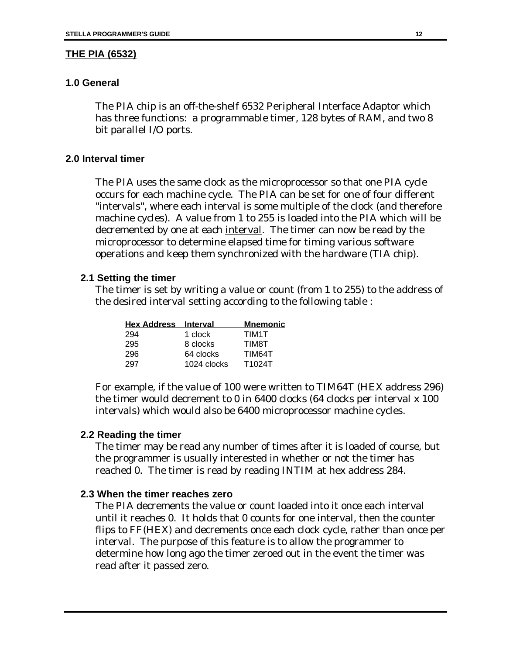#### **THE PIA (6532)**

#### **1.0 General**

The PIA chip is an off-the-shelf 6532 Peripheral Interface Adaptor which has three functions: a programmable timer, 128 bytes of RAM, and two 8 bit parallel I/O ports.

#### **2.0 Interval timer**

The PIA uses the same clock as the microprocessor so that one PIA cycle occurs for each machine cycle. The PIA can be set for one of four different "intervals", where each interval is some multiple of the clock (and therefore machine cycles). A value from 1 to 255 is loaded into the PIA which will be decremented by one at each interval. The timer can now be read by the microprocessor to determine elapsed time for timing various software operations and keep them synchronized with the hardware (TIA chip).

#### **2.1 Setting the timer**

The timer is set by writing a value or count (from 1 to 255) to the address of the desired interval setting according to the following table :

| <b>Hex Address</b> | <b>Interval</b> | <b>Mnemonic</b> |
|--------------------|-----------------|-----------------|
| 294                | 1 clock         | TIM1T           |
| 295                | 8 clocks        | <b>TIM8T</b>    |
| 296                | 64 clocks       | TIM64T          |
| 297                | 1024 clocks     | T1024T          |

For example, if the value of 100 were written to TIM64T (HEX address 296) the timer would decrement to 0 in 6400 clocks (64 clocks per interval x 100 intervals) which would also be 6400 microprocessor machine cycles.

#### **2.2 Reading the timer**

The timer may be read any number of times after it is loaded of course, but the programmer is usually interested in whether or not the timer has reached 0. The timer is read by reading INTIM at hex address 284.

#### **2.3 When the timer reaches zero**

The PIA decrements the value or count loaded into it once each interval until it reaches 0. It holds that 0 counts for one interval, then the counter flips to FF(HEX) and decrements once each clock cycle, rather than once per interval. The purpose of this feature is to allow the programmer to determine how long ago the timer zeroed out in the event the timer was read after it passed zero.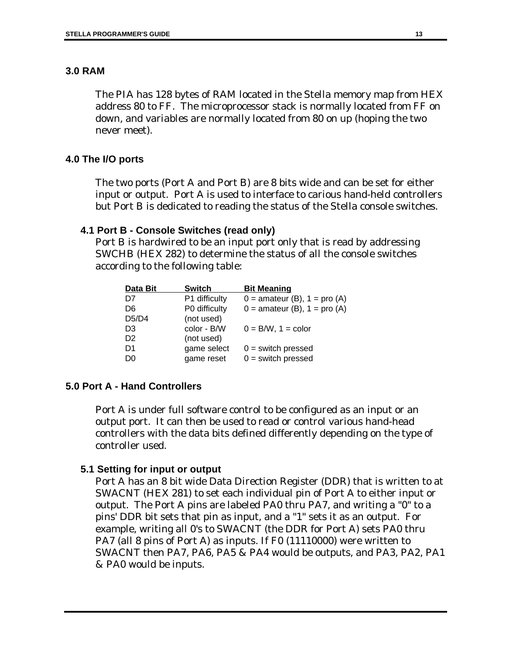### **3.0 RAM**

The PIA has 128 bytes of RAM located in the Stella memory map from HEX address 80 to FF. The microprocessor stack is normally located from FF on down, and variables are normally located from 80 on up (hoping the two never meet).

### **4.0 The I/O ports**

The two ports (Port A and Port B) are 8 bits wide and can be set for either input or output. Port A is used to interface to carious hand-held controllers but Port B is dedicated to reading the status of the Stella console switches.

### **4.1 Port B - Console Switches (read only)**

Port B is hardwired to be an input port only that is read by addressing SWCHB (HEX 282) to determine the status of all the console switches according to the following table:

| Data Bit       | <b>Switch</b> | <b>Bit Meaning</b>               |
|----------------|---------------|----------------------------------|
| D7             | P1 difficulty | $0 =$ amateur (B), $1 =$ pro (A) |
| D6             | P0 difficulty | $0 =$ amateur (B), $1 =$ pro (A) |
| D5/D4          | (not used)    |                                  |
| D <sub>3</sub> | color - B/W   | $0 = B/W$ , $1 = color$          |
| D <sub>2</sub> | (not used)    |                                  |
| D1             | game select   | $0 =$ switch pressed             |
| D <sub>0</sub> | game reset    | $0 =$ switch pressed             |
|                |               |                                  |

### **5.0 Port A - Hand Controllers**

Port A is under full software control to be configured as an input or an output port. It can then be used to read or control various hand-head controllers with the data bits defined differently depending on the type of controller used.

#### **5.1 Setting for input or output**

Port A has an 8 bit wide Data Direction Register (DDR) that is written to at SWACNT (HEX 281) to set each individual pin of Port A to either input or output. The Port A pins are labeled PA0 thru PA7, and writing a "0" to a pins' DDR bit sets that pin as input, and a "1" sets it as an output. For example, writing all 0's to SWACNT (the DDR for Port A) sets PA0 thru PA7 (all 8 pins of Port A) as inputs. If F0 (11110000) were written to SWACNT then PA7, PA6, PA5 & PA4 would be outputs, and PA3, PA2, PA1 & PA0 would be inputs.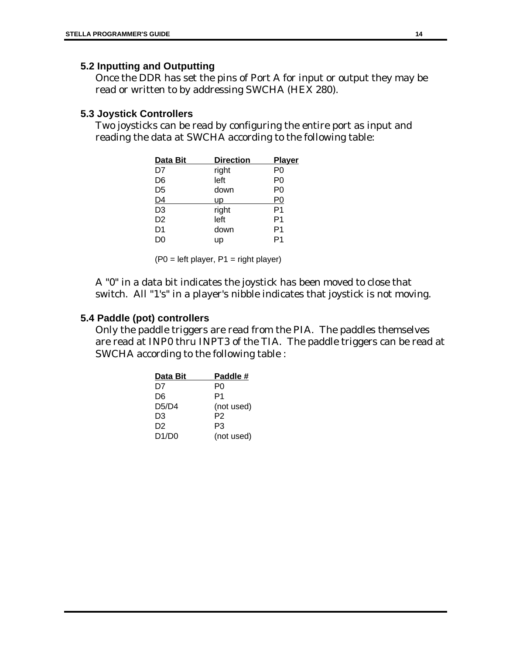### **5.2 Inputting and Outputting**

Once the DDR has set the pins of Port A for input or output they may be read or written to by addressing SWCHA (HEX 280).

### **5.3 Joystick Controllers**

Two joysticks can be read by configuring the entire port as input and reading the data at SWCHA according to the following table:

| Data Bit       | <b>Direction</b> | <b>Player</b>  |
|----------------|------------------|----------------|
| D7             | right            | P0             |
| D6             | left             | P <sub>0</sub> |
| D <sub>5</sub> | down             | P <sub>0</sub> |
| D4             | <b>up</b>        | P0             |
| D <sub>3</sub> | right            | P <sub>1</sub> |
| D <sub>2</sub> | left             | P1             |
| D <sub>1</sub> | down             | P1             |
| D0             | up               |                |

 $(PO = left player, P1 = right player)$ 

A "0" in a data bit indicates the joystick has been moved to close that switch. All "1's" in a player's nibble indicates that joystick is not moving.

### **5.4 Paddle (pot) controllers**

Only the paddle triggers are read from the PIA. The paddles themselves are read at INP0 thru INPT3 of the TIA. The paddle triggers can be read at SWCHA according to the following table :

| Data Bit | Paddle #   |
|----------|------------|
| D7       | P٥         |
| D6       | P1         |
| D5/D4    | (not used) |
| D3       | P2         |
| D2       | P3         |
| D1/D0    | (not used) |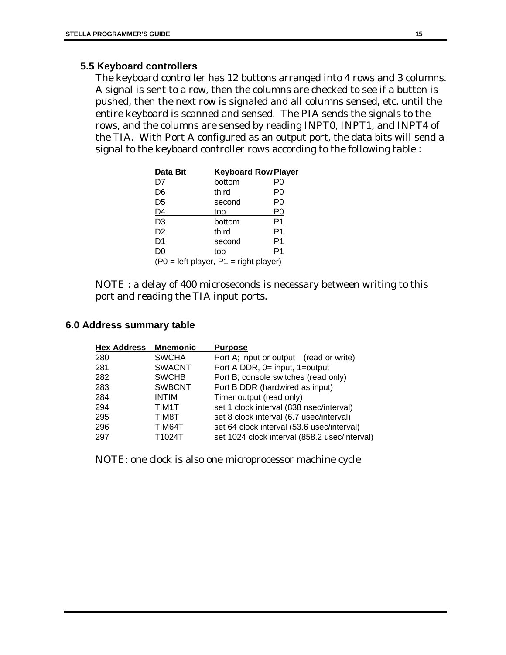### **5.5 Keyboard controllers**

The keyboard controller has 12 buttons arranged into 4 rows and 3 columns. A signal is sent to a row, then the columns are checked to see if a button is pushed, then the next row is signaled and all columns sensed, etc. until the entire keyboard is scanned and sensed. The PIA sends the signals to the rows, and the columns are sensed by reading INPT0, INPT1, and INPT4 of the TIA. With Port A configured as an output port, the data bits will send a signal to the keyboard controller rows according to the following table :

| Data Bit                                |        | <b>Keyboard Row Player</b> |
|-----------------------------------------|--------|----------------------------|
| D7                                      | bottom | P0                         |
| D6                                      | third  | P0                         |
| D <sub>5</sub>                          | second | P <sub>0</sub>             |
| D4                                      | top    | P <sub>0</sub>             |
| D <sub>3</sub>                          | bottom | P1                         |
| D <sub>2</sub>                          | third  | P1                         |
| D <sub>1</sub>                          | second | P1                         |
| D <sub>0</sub>                          | top    | P1                         |
| $(PO = left player, P1 = right player)$ |        |                            |

NOTE : a delay of 400 microseconds is necessary between writing to this port and reading the TIA input ports.

### **6.0 Address summary table**

| <b>Hex Address</b> | <b>Mnemonic</b> | <b>Purpose</b>                                |
|--------------------|-----------------|-----------------------------------------------|
| 280                | <b>SWCHA</b>    | Port A; input or output (read or write)       |
| 281                | <b>SWACNT</b>   | Port A DDR, 0= input, 1=output                |
| 282                | <b>SWCHB</b>    | Port B; console switches (read only)          |
| 283                | <b>SWBCNT</b>   | Port B DDR (hardwired as input)               |
| 284                | <b>INTIM</b>    | Timer output (read only)                      |
| 294                | TIM1T           | set 1 clock interval (838 nsec/interval)      |
| 295                | TIM8T           | set 8 clock interval (6.7 usec/interval)      |
| 296                | TIM64T          | set 64 clock interval (53.6 usec/interval)    |
| 297                | T1024T          | set 1024 clock interval (858.2 usec/interval) |

NOTE: one clock is also one microprocessor machine cycle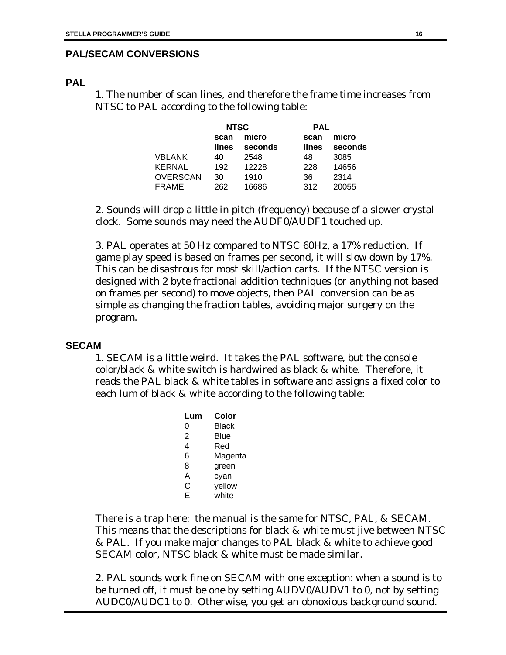### **PAL/SECAM CONVERSIONS**

### **PAL**

1. The number of scan lines, and therefore the frame time increases from NTSC to PAL according to the following table:

|                 | <b>NTSC</b> |         | <b>PAL</b> |         |
|-----------------|-------------|---------|------------|---------|
|                 | scan        | micro   | scan       | micro   |
|                 | lines       | seconds | lines      | seconds |
| VBLANK          | 40          | 2548    | 48         | 3085    |
| <b>KERNAL</b>   | 192         | 12228   | 228        | 14656   |
| <b>OVERSCAN</b> | 30          | 1910    | 36         | 2314    |
| <b>FRAME</b>    | 262         | 16686   | 312        | 20055   |

2. Sounds will drop a little in pitch (frequency) because of a slower crystal clock. Some sounds may need the AUDF0/AUDF1 touched up.

3. PAL operates at 50 Hz compared to NTSC 60Hz, a 17% reduction. If game play speed is based on frames per second, it will slow down by 17%. This can be disastrous for most skill/action carts. If the NTSC version is designed with 2 byte fractional addition techniques (or anything not based on frames per second) to move objects, then PAL conversion can be as simple as changing the fraction tables, avoiding major surgery on the program.

#### **SECAM**

1. SECAM is a little weird. It takes the PAL software, but the console color/black & white switch is hardwired as black & white. Therefore, it reads the PAL black & white tables in software and assigns a fixed color to each lum of black & white according to the following table:

| Lum | Color   |
|-----|---------|
| 0   | Black   |
| 2   | Blue    |
| 4   | Red     |
| 6   | Magenta |
| 8   | green   |
| А   | cyan    |
| С   | yellow  |
| F   | white   |
|     |         |

There is a trap here: the manual is the same for NTSC, PAL, & SECAM. This means that the descriptions for black & white must jive between NTSC & PAL. If you make major changes to PAL black & white to achieve good SECAM color, NTSC black & white must be made similar.

2. PAL sounds work fine on SECAM with one exception: when a sound is to be turned off, it must be one by setting AUDV0/AUDV1 to 0, not by setting AUDC0/AUDC1 to 0. Otherwise, you get an obnoxious background sound.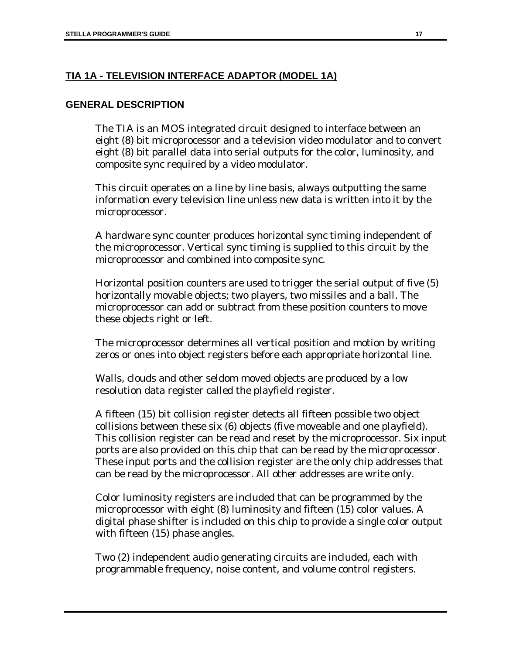### **TIA 1A - TELEVISION INTERFACE ADAPTOR (MODEL 1A)**

### **GENERAL DESCRIPTION**

The TIA is an MOS integrated circuit designed to interface between an eight (8) bit microprocessor and a television video modulator and to convert eight (8) bit parallel data into serial outputs for the color, luminosity, and composite sync required by a video modulator.

This circuit operates on a line by line basis, always outputting the same information every television line unless new data is written into it by the microprocessor.

A hardware sync counter produces horizontal sync timing independent of the microprocessor. Vertical sync timing is supplied to this circuit by the microprocessor and combined into composite sync.

Horizontal position counters are used to trigger the serial output of five (5) horizontally movable objects; two players, two missiles and a ball. The microprocessor can add or subtract from these position counters to move these objects right or left.

The microprocessor determines all vertical position and motion by writing zeros or ones into object registers before each appropriate horizontal line.

Walls, clouds and other seldom moved objects are produced by a low resolution data register called the playfield register.

A fifteen (15) bit collision register detects all fifteen possible two object collisions between these six (6) objects (five moveable and one playfield). This collision register can be read and reset by the microprocessor. Six input ports are also provided on this chip that can be read by the microprocessor. These input ports and the collision register are the only chip addresses that can be read by the microprocessor. All other addresses are write only.

Color luminosity registers are included that can be programmed by the microprocessor with eight (8) luminosity and fifteen (15) color values. A digital phase shifter is included on this chip to provide a single color output with fifteen (15) phase angles.

Two (2) independent audio generating circuits are included, each with programmable frequency, noise content, and volume control registers.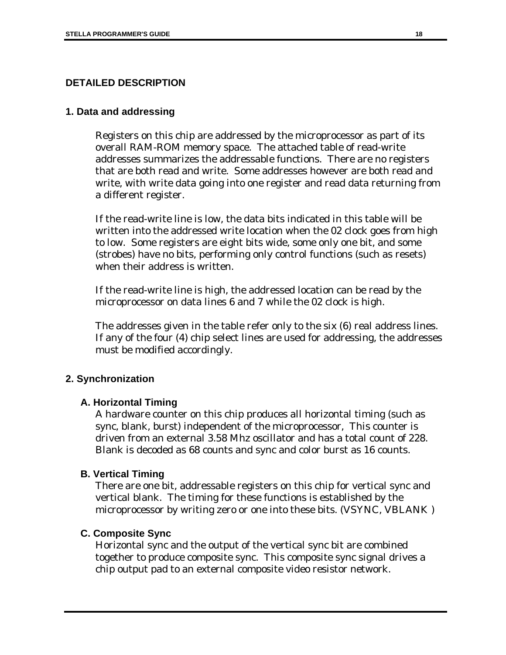### **DETAILED DESCRIPTION**

#### **1. Data and addressing**

Registers on this chip are addressed by the microprocessor as part of its overall RAM-ROM memory space. The attached table of read-write addresses summarizes the addressable functions. There are no registers that are both read and write. Some addresses however are both read and write, with write data going into one register and read data returning from a different register.

If the read-write line is low, the data bits indicated in this table will be written into the addressed write location when the 02 clock goes from high to low. Some registers are eight bits wide, some only one bit, and some (strobes) have no bits, performing only control functions (such as resets) when their address is written.

If the read-write line is high, the addressed location can be read by the microprocessor on data lines 6 and 7 while the 02 clock is high.

The addresses given in the table refer only to the six (6) real address lines. If any of the four (4) chip select lines are used for addressing, the addresses must be modified accordingly.

#### **2. Synchronization**

#### **A. Horizontal Timing**

A hardware counter on this chip produces all horizontal timing (such as sync, blank, burst) independent of the microprocessor, This counter is driven from an external 3.58 Mhz oscillator and has a total count of 228. Blank is decoded as 68 counts and sync and color burst as 16 counts.

#### **B. Vertical Timing**

There are one bit, addressable registers on this chip for vertical sync and vertical blank. The timing for these functions is established by the microprocessor by writing zero or one into these bits. (VSYNC, VBLANK )

#### **C. Composite Sync**

Horizontal sync and the output of the vertical sync bit are combined together to produce composite sync. This composite sync signal drives a chip output pad to an external composite video resistor network.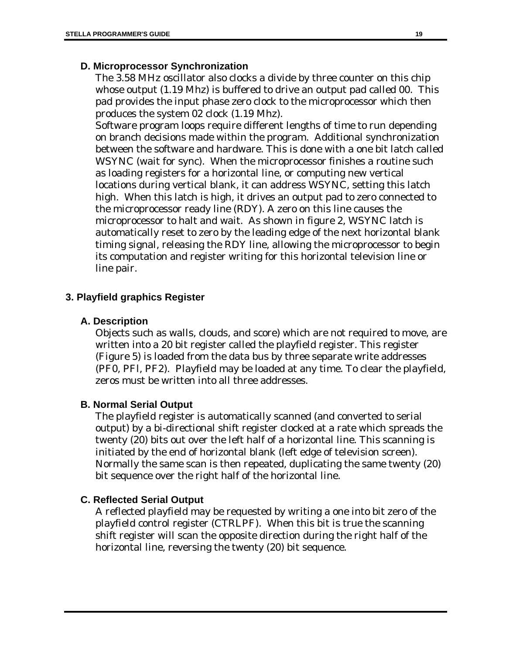### **D. Microprocessor Synchronization**

The 3.58 MHz oscillator also clocks a divide by three counter on this chip whose output (1.19 Mhz) is buffered to drive an output pad called 00. This pad provides the input phase zero clock to the microprocessor which then produces the system 02 clock (1.19 Mhz).

Software program loops require different lengths of time to run depending on branch decisions made within the program. Additional synchronization between the software and hardware. This is done with a one bit latch called WSYNC (wait for sync). When the microprocessor finishes a routine such as loading registers for a horizontal line, or computing new vertical locations during vertical blank, it can address WSYNC, setting this latch high. When this latch is high, it drives an output pad to zero connected to the microprocessor ready line (RDY). A zero on this line causes the microprocessor to halt and wait. As shown in figure 2, WSYNC latch is automatically reset to zero by the leading edge of the next horizontal blank timing signal, releasing the RDY line, allowing the microprocessor to begin its computation and register writing for this horizontal television line or line pair.

### **3. Playfield graphics Register**

### **A. Description**

Objects such as walls, clouds, and score) which are not required to move, are written into a 20 bit register called the playfield register. This register (Figure 5) is loaded from the data bus by three separate write addresses (PF0, PFl, PF2). Playfield may be loaded at any time. To clear the playfield, zeros must be written into all three addresses.

### **B. Normal Serial Output**

The playfield register is automatically scanned (and converted to serial output) by a bi-directional shift register clocked at a rate which spreads the twenty (20) bits out over the left half of a horizontal line. This scanning is initiated by the end of horizontal blank (left edge of television screen). Normally the same scan is then repeated, duplicating the same twenty (20) bit sequence over the right half of the horizontal line.

### **C. Reflected Serial Output**

A reflected playfield may be requested by writing a one into bit zero of the playfield control register (CTRLPF). When this bit is true the scanning shift register will scan the opposite direction during the right half of the horizontal line, reversing the twenty (20) bit sequence.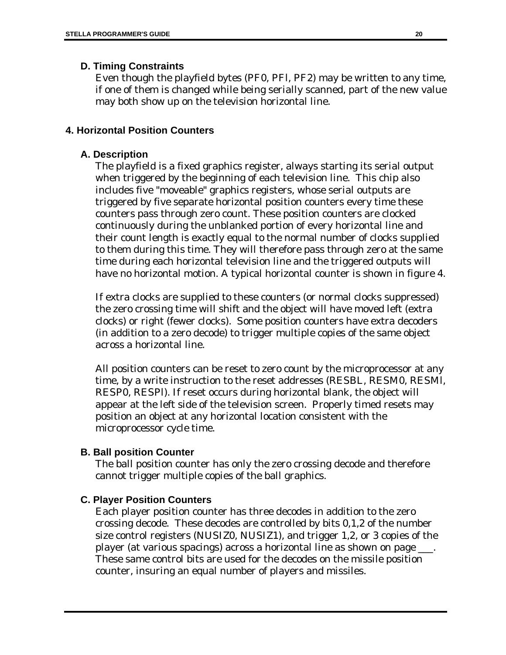### **D. Timing Constraints**

Even though the playfield bytes (PF0, PFl, PF2) may be written to any time, if one of them is changed while being serially scanned, part of the new value may both show up on the television horizontal line.

### **4. Horizontal Position Counters**

### **A. Description**

The playfield is a fixed graphics register, always starting its serial output when triggered by the beginning of each television line. This chip also includes five "moveable" graphics registers, whose serial outputs are triggered by five separate horizontal position counters every time these counters pass through zero count. These position counters are clocked continuously during the unblanked portion of every horizontal line and their count length is exactly equal to the normal number of clocks supplied to them during this time. They will therefore pass through zero at the same time during each horizontal television line and the triggered outputs will have no horizontal motion. A typical horizontal counter is shown in figure 4.

If extra clocks are supplied to these counters (or normal clocks suppressed) the zero crossing time will shift and the object will have moved left (extra clocks) or right (fewer clocks). Some position counters have extra decoders (in addition to a zero decode) to trigger multiple copies of the same object across a horizontal line.

All position counters can be reset to zero count by the microprocessor at any time, by a write instruction to the reset addresses (RESBL, RESM0, RESMl, RESP0, RESPl). If reset occurs during horizontal blank, the object will appear at the left side of the television screen. Properly timed resets may position an object at any horizontal location consistent with the microprocessor cycle time.

### **B. Ball position Counter**

The ball position counter has only the zero crossing decode and therefore cannot trigger multiple copies of the ball graphics.

### **C. Player Position Counters**

Each player position counter has three decodes in addition to the zero crossing decode. These decodes are controlled by bits 0,1,2 of the number size control registers (NUSIZ0, NUSIZ1), and trigger 1,2, or 3 copies of the player (at various spacings) across a horizontal line as shown on page \_\_\_. These same control bits are used for the decodes on the missile position counter, insuring an equal number of players and missiles.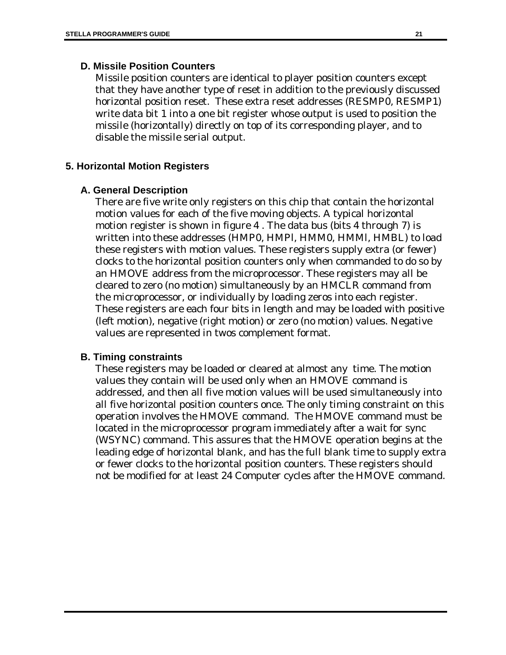#### **D. Missile Position Counters**

Missile position counters are identical to player position counters except that they have another type of reset in addition to the previously discussed horizontal position reset. These extra reset addresses (RESMP0, RESMP1) write data bit 1 into a one bit register whose output is used to position the missile (horizontally) directly on top of its corresponding player, and to disable the missile serial output.

#### **5. Horizontal Motion Registers**

#### **A. General Description**

There are five write only registers on this chip that contain the horizontal motion values for each of the five moving objects. A typical horizontal motion register is shown in figure 4 . The data bus (bits 4 through 7) is written into these addresses (HMP0, HMPl, HMM0, HMMl, HMBL) to load these registers with motion values. These registers supply extra (or fewer) clocks to the horizontal position counters only when commanded to do so by an HMOVE address from the microprocessor. These registers may all be cleared to zero (no motion) simultaneously by an HMCLR command from the microprocessor, or individually by loading zeros into each register. These registers are each four bits in length and may be loaded with positive (left motion), negative (right motion) or zero (no motion) values. Negative values are represented in twos complement format.

#### **B. Timing constraints**

These registers may be loaded or cleared at almost any time. The motion values they contain will be used only when an HMOVE command is addressed, and then all five motion values will be used simultaneously into all five horizontal position counters once. The only timing constraint on this operation involves the HMOVE command. The HMOVE command must be located in the microprocessor program immediately after a wait for sync (WSYNC) command. This assures that the HMOVE operation begins at the leading edge of horizontal blank, and has the full blank time to supply extra or fewer clocks to the horizontal position counters. These registers should not be modified for at least 24 Computer cycles after the HMOVE command.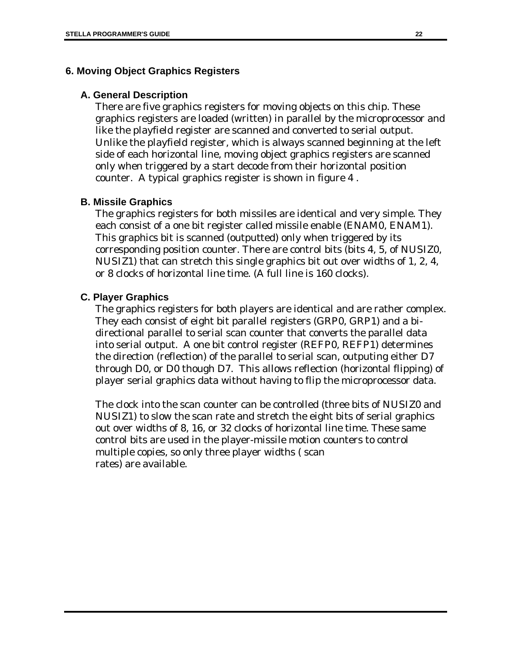#### **6. Moving Object Graphics Registers**

#### **A. General Description**

There are five graphics registers for moving objects on this chip. These graphics registers are loaded (written) in parallel by the microprocessor and like the playfield register are scanned and converted to serial output. Unlike the playfield register, which is always scanned beginning at the left side of each horizontal line, moving object graphics registers are scanned only when triggered by a start decode from their horizontal position counter. A typical graphics register is shown in figure 4 .

#### **B. Missile Graphics**

The graphics registers for both missiles are identical and very simple. They each consist of a one bit register called missile enable (ENAM0, ENAM1). This graphics bit is scanned (outputted) only when triggered by its corresponding position counter. There are control bits (bits 4, 5, of NUSIZ0, NUSIZ1) that can stretch this single graphics bit out over widths of 1, 2, 4, or 8 clocks of horizontal line time. (A full line is 160 clocks).

#### **C. Player Graphics**

The graphics registers for both players are identical and are rather complex. They each consist of eight bit parallel registers (GRP0, GRP1) and a bidirectional parallel to serial scan counter that converts the parallel data into serial output. A one bit control register (REFP0, REFP1) determines the direction (reflection) of the parallel to serial scan, outputing either D7 through D0, or D0 though D7. This allows reflection (horizontal flipping) of player serial graphics data without having to flip the microprocessor data.

The clock into the scan counter can be controlled (three bits of NUSIZ0 and NUSIZ1) to slow the scan rate and stretch the eight bits of serial graphics out over widths of 8, 16, or 32 clocks of horizontal line time. These same control bits are used in the player-missile motion counters to control multiple copies, so only three player widths ( scan rates) are available.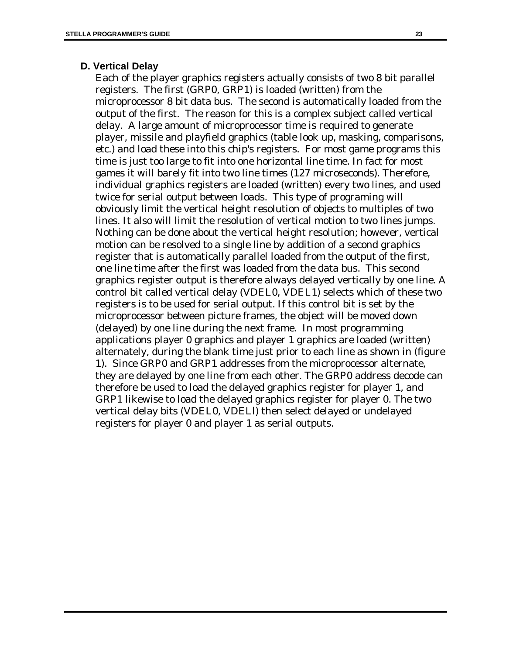#### **D. Vertical Delay**

Each of the player graphics registers actually consists of two 8 bit parallel registers. The first (GRP0, GRP1) is loaded (written) from the microprocessor 8 bit data bus. The second is automatically loaded from the output of the first. The reason for this is a complex subject called vertical delay. A large amount of microprocessor time is required to generate player, missile and playfield graphics (table look up, masking, comparisons, etc.) and load these into this chip's registers. For most game programs this time is just too large to fit into one horizontal line time. In fact for most games it will barely fit into two line times (127 microseconds). Therefore, individual graphics registers are loaded (written) every two lines, and used twice for serial output between loads. This type of programing will obviously limit the vertical height resolution of objects to multiples of two lines. It also will limit the resolution of vertical motion to two lines jumps. Nothing can be done about the vertical height resolution; however, vertical motion can be resolved to a single line by addition of a second graphics register that is automatically parallel loaded from the output of the first, one line time after the first was loaded from the data bus. This second graphics register output is therefore always delayed vertically by one line. A control bit called vertical delay (VDEL0, VDEL1) selects which of these two registers is to be used for serial output. If this control bit is set by the microprocessor between picture frames, the object will be moved down (delayed) by one line during the next frame. In most programming applications player 0 graphics and player 1 graphics are loaded (written) alternately, during the blank time just prior to each line as shown in (figure 1). Since GRP0 and GRP1 addresses from the microprocessor alternate, they are delayed by one line from each other. The GRP0 address decode can therefore be used to load the delayed graphics register for player 1, and GRP1 likewise to load the delayed graphics register for player 0. The two vertical delay bits (VDEL0, VDELl) then select delayed or undelayed registers for player 0 and player 1 as serial outputs.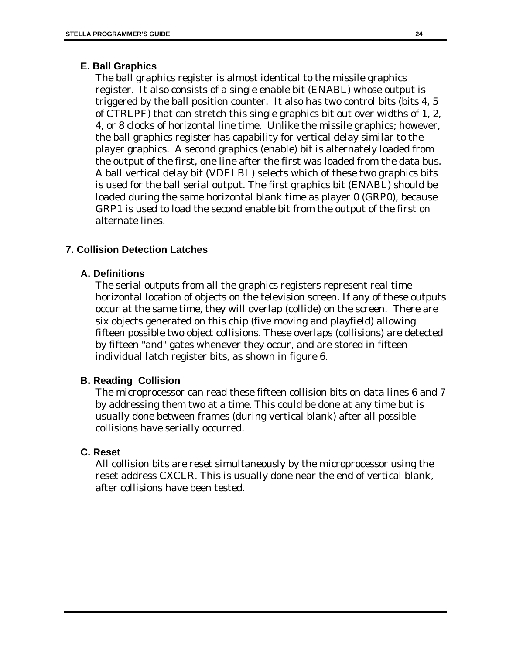### **E. Ball Graphics**

The ball graphics register is almost identical to the missile graphics register. It also consists of a single enable bit (ENABL) whose output is triggered by the ball position counter. It also has two control bits (bits 4, 5 of CTRLPF) that can stretch this single graphics bit out over widths of 1, 2, 4, or 8 clocks of horizontal line time. Unlike the missile graphics; however, the ball graphics register has capability for vertical delay similar to the player graphics. A second graphics (enable) bit is alternately loaded from the output of the first, one line after the first was loaded from the data bus. A ball vertical delay bit (VDELBL) selects which of these two graphics bits is used for the ball serial output. The first graphics bit (ENABL) should be loaded during the same horizontal blank time as player 0 (GRP0), because GRP1 is used to load the second enable bit from the output of the first on alternate lines.

### **7. Collision Detection Latches**

### **A. Definitions**

The serial outputs from all the graphics registers represent real time horizontal location of objects on the television screen. If any of these outputs occur at the same time, they will overlap (collide) on the screen. There are six objects generated on this chip (five moving and playfield) allowing fifteen possible two object collisions. These overlaps (collisions) are detected by fifteen "and" gates whenever they occur, and are stored in fifteen individual latch register bits, as shown in figure 6.

### **B. Reading Collision**

The microprocessor can read these fifteen collision bits on data lines 6 and 7 by addressing them two at a time. This could be done at any time but is usually done between frames (during vertical blank) after all possible collisions have serially occurred.

#### **C. Reset**

All collision bits are reset simultaneously by the microprocessor using the reset address CXCLR. This is usually done near the end of vertical blank, after collisions have been tested.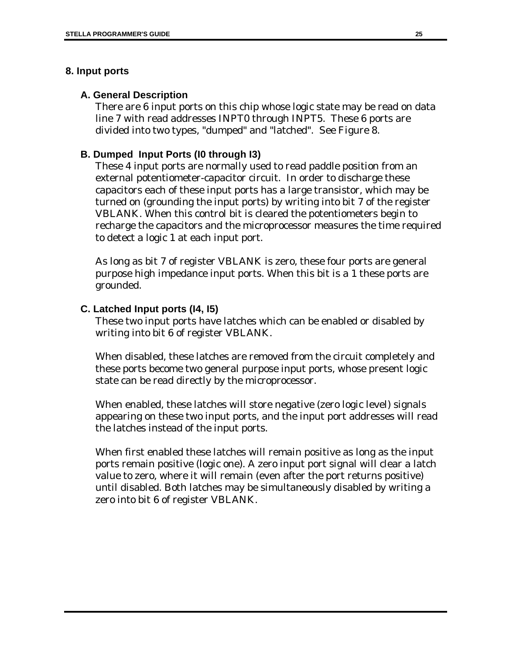### **8. Input ports**

### **A. General Description**

There are 6 input ports on this chip whose logic state may be read on data line 7 with read addresses INPT0 through INPT5. These 6 ports are divided into two types, "dumped" and "latched". See Figure 8.

### **B. Dumped Input Ports (I0 through I3)**

These 4 input ports are normally used to read paddle position from an external potentiometer-capacitor circuit. In order to discharge these capacitors each of these input ports has a large transistor, which may be turned on (grounding the input ports) by writing into bit 7 of the register VBLANK. When this control bit is cleared the potentiometers begin to recharge the capacitors and the microprocessor measures the time required to detect a logic 1 at each input port.

As long as bit 7 of register VBLANK is zero, these four ports are general purpose high impedance input ports. When this bit is a 1 these ports are grounded.

### **C. Latched Input ports (I4, I5)**

These two input ports have latches which can be enabled or disabled by writing into bit 6 of register VBLANK.

When disabled, these latches are removed from the circuit completely and these ports become two general purpose input ports, whose present logic state can be read directly by the microprocessor.

When enabled, these latches will store negative (zero logic level) signals appearing on these two input ports, and the input port addresses will read the latches instead of the input ports.

When first enabled these latches will remain positive as long as the input ports remain positive (logic one). A zero input port signal will clear a latch value to zero, where it will remain (even after the port returns positive) until disabled. Both latches may be simultaneously disabled by writing a zero into bit 6 of register VBLANK.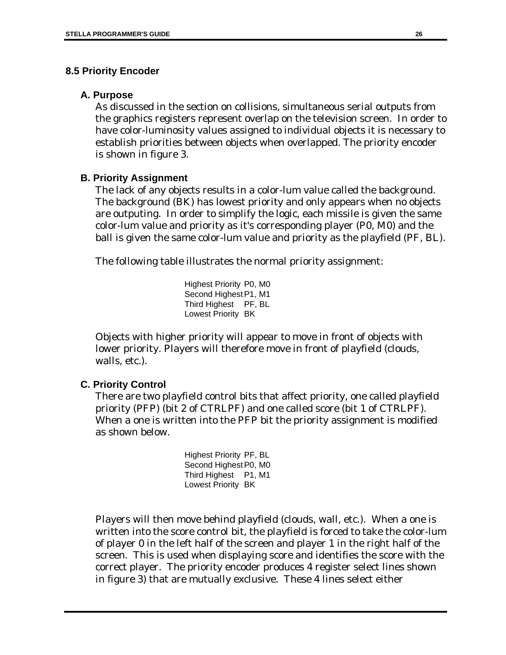### **8.5 Priority Encoder**

### **A. Purpose**

As discussed in the section on collisions, simultaneous serial outputs from the graphics registers represent overlap on the television screen. In order to have color-luminosity values assigned to individual objects it is necessary to establish priorities between objects when overlapped. The priority encoder is shown in figure 3.

### **B. Priority Assignment**

The lack of any objects results in a color-lum value called the background. The background (BK) has lowest priority and only appears when no objects are outputing. In order to simplify the logic, each missile is given the same color-lum value and priority as it's corresponding player (P0, M0) and the ball is given the same color-lum value and priority as the playfield (PF, BL).

The following table illustrates the normal priority assignment:

Highest Priority P0, M0 Second Highest P1, M1 Third Highest PF, BL Lowest Priority BK

Objects with higher priority will appear to move in front of objects with lower priority. Players will therefore move in front of playfield (clouds, walls, etc.).

### **C. Priority Control**

There are two playfield control bits that affect priority, one called playfield priority (PFP) (bit 2 of CTRLPF) and one called score (bit 1 of CTRLPF). When a one is written into the PFP bit the priority assignment is modified as shown below.

> Highest Priority PF, BL Second Highest P0, M0 Third Highest P1, M1 Lowest Priority BK

Players will then move behind playfield (clouds, wall, etc.). When a one is written into the score control bit, the playfield is forced to take the color-lum of player 0 in the left half of the screen and player 1 in the right half of the screen. This is used when displaying score and identifies the score with the correct player. The priority encoder produces 4 register select lines shown in figure 3) that are mutually exclusive. These 4 lines select either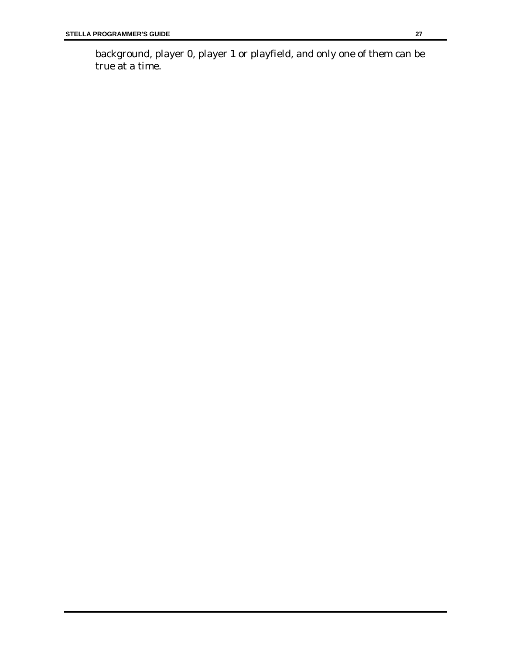background, player 0, player 1 or playfield, and only one of them can be true at a time.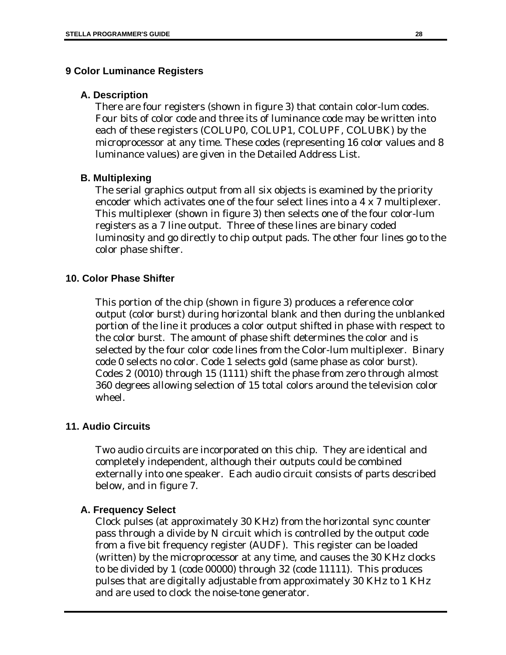### **9 Color Luminance Registers**

### **A. Description**

There are four registers (shown in figure 3) that contain color-lum codes. Four bits of color code and three its of luminance code may be written into each of these registers (COLUP0, COLUP1, COLUPF, COLUBK) by the microprocessor at any time. These codes (representing 16 color values and 8 luminance values) are given in the Detailed Address List.

### **B. Multiplexing**

The serial graphics output from all six objects is examined by the priority encoder which activates one of the four select lines into a 4 x 7 multiplexer. This multiplexer (shown in figure 3) then selects one of the four color-lum registers as a 7 line output. Three of these lines are binary coded luminosity and go directly to chip output pads. The other four lines go to the color phase shifter.

### **10. Color Phase Shifter**

This portion of the chip (shown in figure 3) produces a reference color output (color burst) during horizontal blank and then during the unblanked portion of the line it produces a color output shifted in phase with respect to the color burst. The amount of phase shift determines the color and is selected by the four color code lines from the Color-lum multiplexer. Binary code 0 selects no color. Code 1 selects gold (same phase as color burst). Codes 2 (0010) through 15 (1111) shift the phase from zero through almost 360 degrees allowing selection of 15 total colors around the television color wheel.

#### **11. Audio Circuits**

Two audio circuits are incorporated on this chip. They are identical and completely independent, although their outputs could be combined externally into one speaker. Each audio circuit consists of parts described below, and in figure 7.

#### **A. Frequency Select**

Clock pulses (at approximately 30 KHz) from the horizontal sync counter pass through a divide by N circuit which is controlled by the output code from a five bit frequency register (AUDF). This register can be loaded (written) by the microprocessor at any time, and causes the 30 KHz clocks to be divided by 1 (code 00000) through 32 (code 11111). This produces pulses that are digitally adjustable from approximately 30 KHz to 1 KHz and are used to clock the noise-tone generator.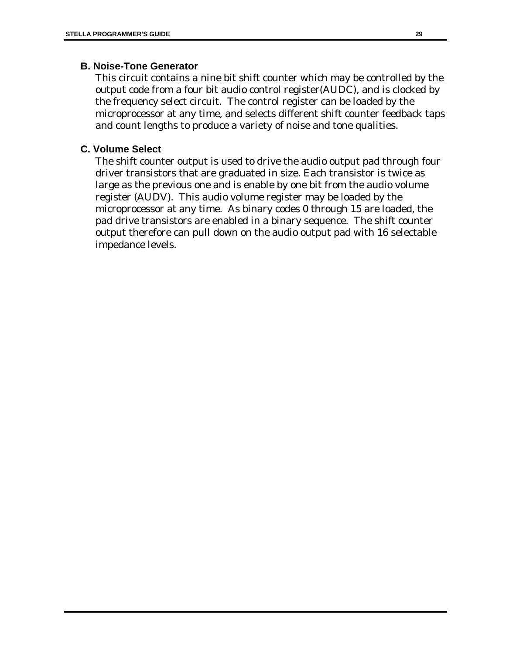### **B. Noise-Tone Generator**

This circuit contains a nine bit shift counter which may be controlled by the output code from a four bit audio control register(AUDC), and is clocked by the frequency select circuit. The control register can be loaded by the microprocessor at any time, and selects different shift counter feedback taps and count lengths to produce a variety of noise and tone qualities.

### **C. Volume Select**

The shift counter output is used to drive the audio output pad through four driver transistors that are graduated in size. Each transistor is twice as large as the previous one and is enable by one bit from the audio volume register (AUDV). This audio volume register may be loaded by the microprocessor at any time. As binary codes 0 through 15 are loaded, the pad drive transistors are enabled in a binary sequence. The shift counter output therefore can pull down on the audio output pad with 16 selectable impedance levels.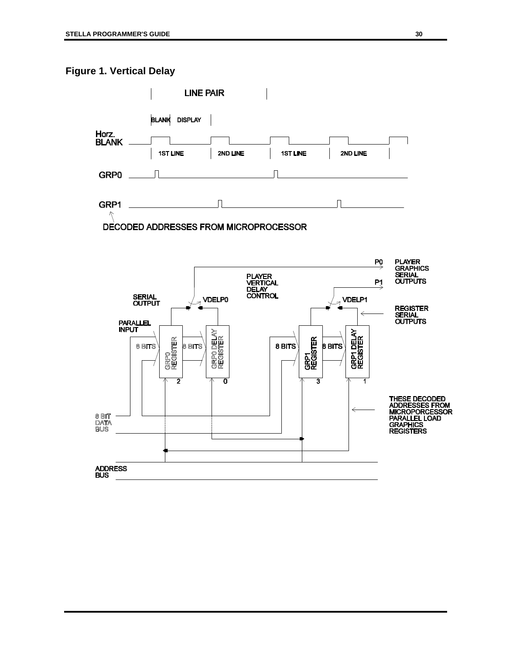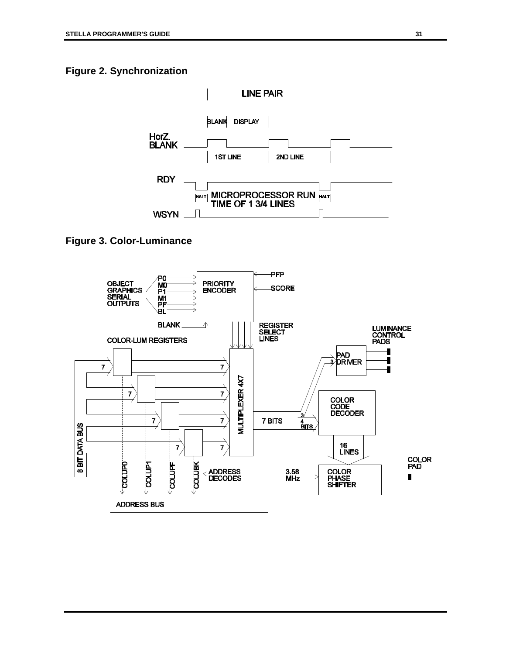### **Figure 2. Synchronization**



**Figure 3. Color-Luminance**

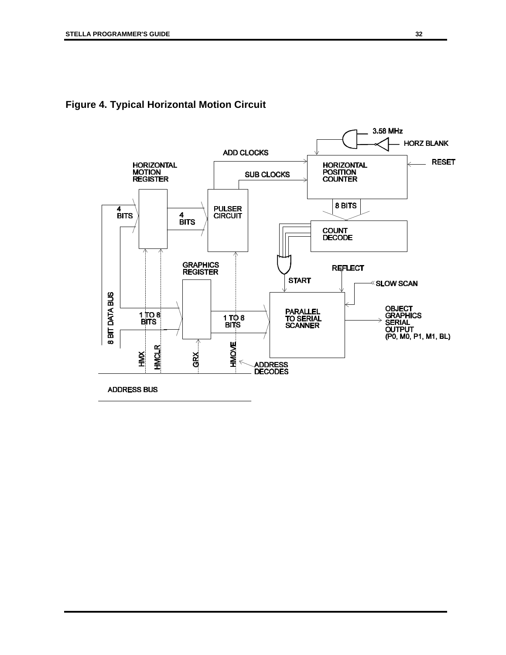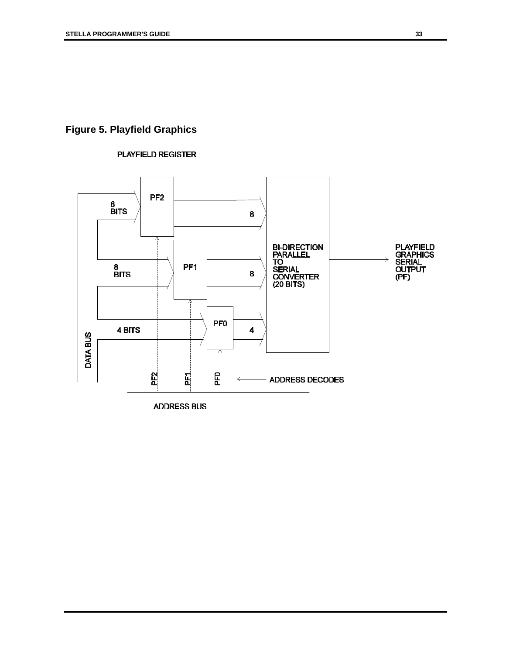# **Figure 5. Playfield Graphics**



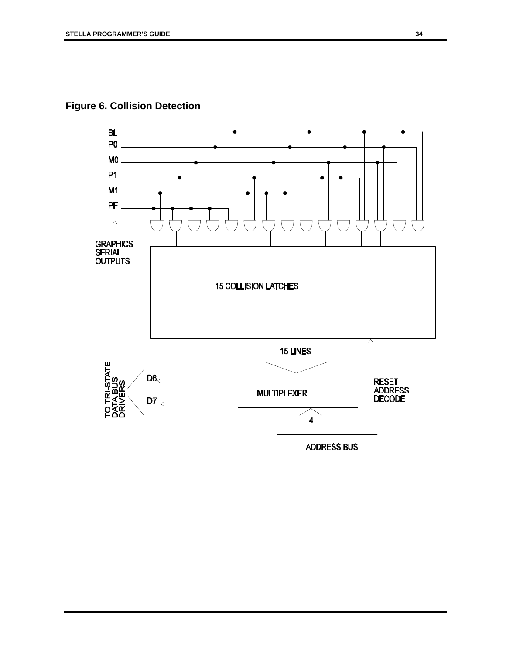**Figure 6. Collision Detection**

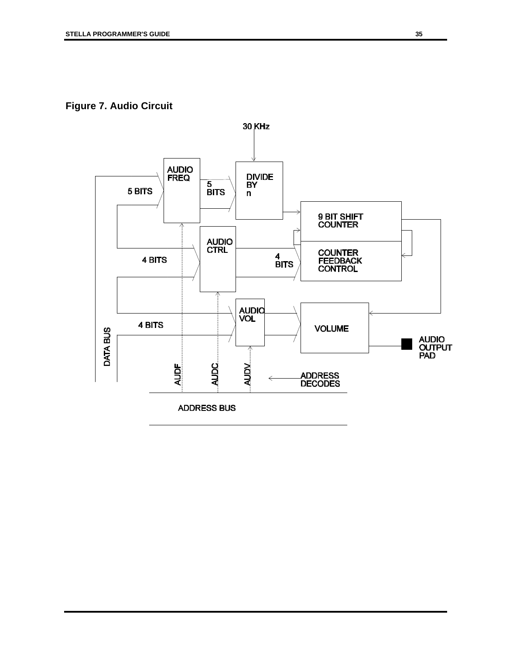**Figure 7. Audio Circuit**

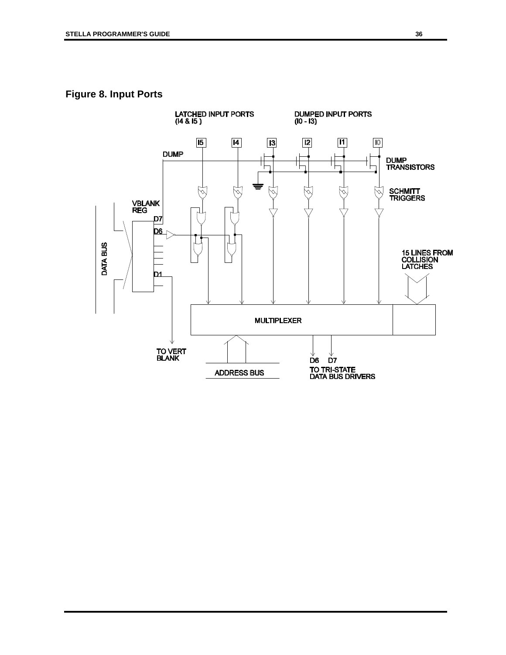### **Figure 8. Input Ports**

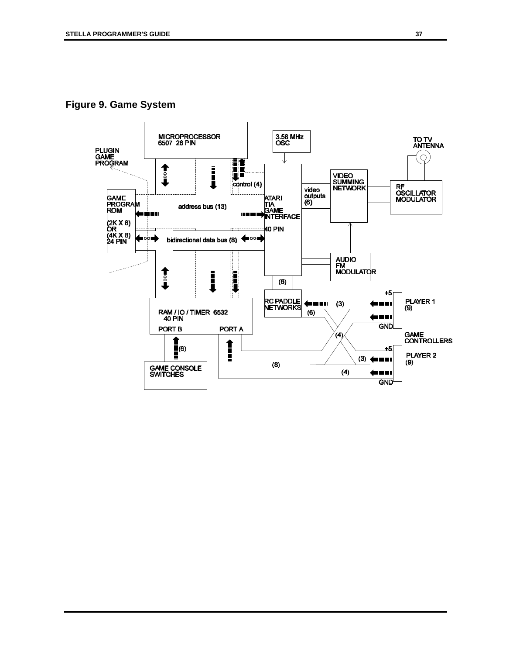**Figure 9. Game System**

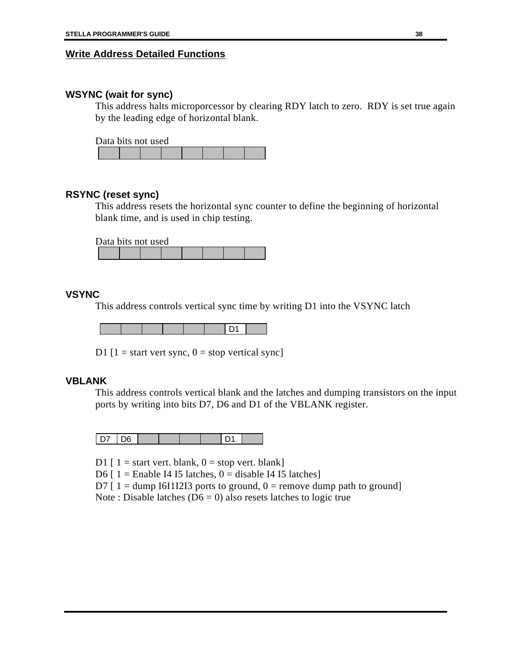#### **Write Address Detailed Functions**

#### **WSYNC (wait for sync)**

This address halts microporcessor by clearing RDY latch to zero. RDY is set true again by the leading edge of horizontal blank.

Data bits not used

#### **RSYNC (reset sync)**

This address resets the horizontal sync counter to define the beginning of horizontal blank time, and is used in chip testing.

Data bits not used

#### **VSYNC**

This address controls vertical sync time by writing D1 into the VSYNC latch

D<sub>1</sub>

D1  $[1]$  = start vert sync,  $0$  = stop vertical sync]

#### **VBLANK**

This address controls vertical blank and the latches and dumping transistors on the input ports by writing into bits D7, D6 and D1 of the VBLANK register.

| - | ነፍ |  |  |  |
|---|----|--|--|--|

D1  $[1]$  = start vert. blank,  $0$  = stop vert. blank]

D6  $[1 =$  Enable I4 I5 latches,  $0 =$  disable I4 I5 latches]

D7  $[1 =$  dump I6I1I2I3 ports to ground,  $0 =$  remove dump path to ground]

Note : Disable latches ( $\overline{D6} = 0$ ) also resets latches to logic true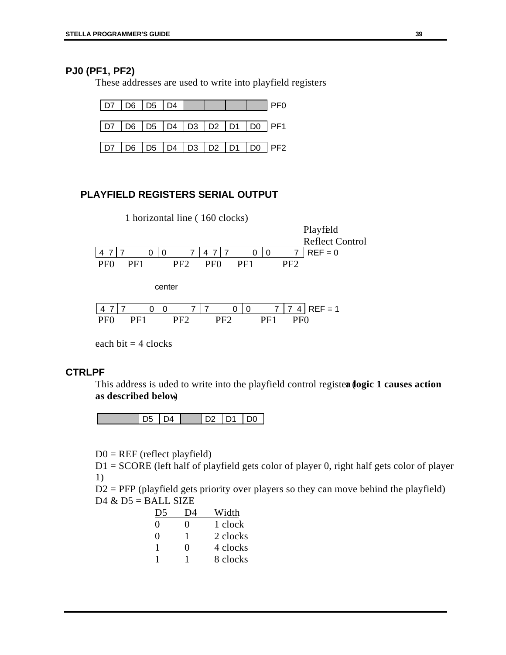### **PJ0 (PF1, PF2)**

These addresses are used to write into playfield registers



### **PLAYFIELD REGISTERS SERIAL OUTPUT**

|                 |     |   |   | 1 horizontal line (160 clocks) |                 |     |     |     |                 | Playfeld               |  |
|-----------------|-----|---|---|--------------------------------|-----------------|-----|-----|-----|-----------------|------------------------|--|
|                 |     |   |   |                                |                 |     |     |     |                 | <b>Reflect Control</b> |  |
|                 |     | O | ∩ | 7                              | 7<br>4          |     | 0   | 0   | 7               | $REF = 0$              |  |
| PF0             | PF1 |   |   | PF <sub>2</sub>                | PF <sub>0</sub> |     | PF1 |     | PF <sub>2</sub> |                        |  |
| center          |     |   |   |                                |                 |     |     |     |                 |                        |  |
|                 |     |   |   |                                |                 | U   | 0   |     |                 | $REF = 1$              |  |
| PF <sub>0</sub> | PF1 |   |   | PF2                            |                 | PF2 |     | PF1 | PF0             |                        |  |
|                 |     |   |   |                                |                 |     |     |     |                 |                        |  |

each bit  $=$  4 clocks

### **CTRLPF**

This address is uded to write into the playfield control registea (logic 1 causes action **as described below**)

|  |  |  | ነቦ |
|--|--|--|----|
|  |  |  |    |

 $D0 = REF$  (reflect playfield)

D1 = SCORE (left half of playfield gets color of player 0, right half gets color of player 1)

 $D2 = PFP$  (playfield gets priority over players so they can move behind the playfield)  $D4 & D5 = BALL$  SIZE

| $D^s$ |                   | Width    |
|-------|-------------------|----------|
| 0     | 0                 | 1 clock  |
| 0     | 1                 | 2 clocks |
| 1     | $\mathbf{\Omega}$ | 4 clocks |
|       |                   | 8 clocks |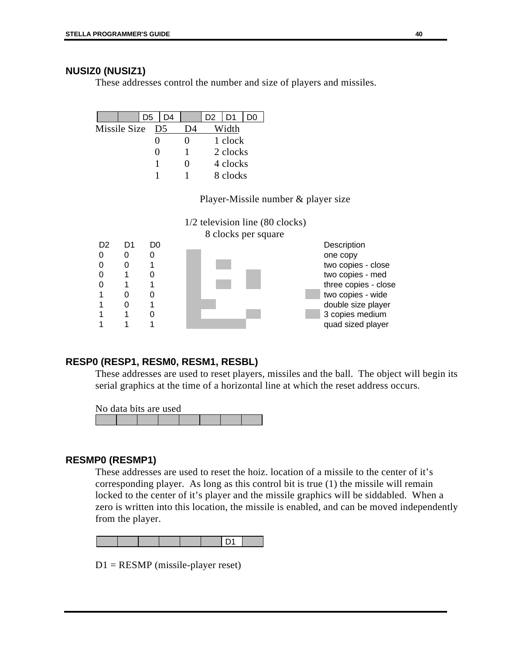### **NUSIZ0 (NUSIZ1)**

These addresses control the number and size of players and missiles.

|              |  | D5 | D4             |    | D2 | D1       | מכ |  |
|--------------|--|----|----------------|----|----|----------|----|--|
| Missile Size |  |    | D <sub>5</sub> | )Δ |    | Width    |    |  |
|              |  |    |                |    |    | 1 clock  |    |  |
|              |  |    |                |    |    | 2 clocks |    |  |
|              |  |    |                | 0  |    | 4 clocks |    |  |
|              |  |    |                |    |    | 8 clocks |    |  |

### Player-Missile number & player size



### **RESP0 (RESP1, RESM0, RESM1, RESBL)**

These addresses are used to reset players, missiles and the ball. The object will begin its serial graphics at the time of a horizontal line at which the reset address occurs.

No data bits are used

#### **RESMP0 (RESMP1)**

These addresses are used to reset the hoiz. location of a missile to the center of it's corresponding player. As long as this control bit is true (1) the missile will remain locked to the center of it's player and the missile graphics will be siddabled. When a zero is written into this location, the missile is enabled, and can be moved independently from the player.



D1 = RESMP (missile-player reset)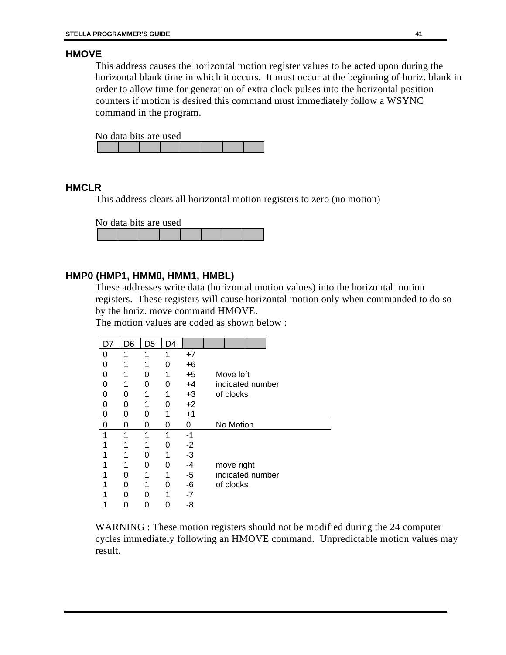### **HMOVE**

This address causes the horizontal motion register values to be acted upon during the horizontal blank time in which it occurs. It must occur at the beginning of horiz. blank in order to allow time for generation of extra clock pulses into the horizontal position counters if motion is desired this command must immediately follow a WSYNC command in the program.

No data bits are used

#### **HMCLR**

This address clears all horizontal motion registers to zero (no motion)

No data bits are used

### **HMP0 (HMP1, HMM0, HMM1, HMBL)**

These addresses write data (horizontal motion values) into the horizontal motion registers. These registers will cause horizontal motion only when commanded to do so by the horiz. move command HMOVE.

The motion values are coded as shown below :

| D7 | D6 | D5 | D4 |      |                  |
|----|----|----|----|------|------------------|
| O  |    |    | 1  | $+7$ |                  |
| 0  |    |    | 0  | $+6$ |                  |
| 0  |    | Ω  | 1  | $+5$ | Move left        |
|    |    | O  | ი  | $+4$ | indicated number |
| 0  | O  |    | 1  | $+3$ | of clocks        |
| U  | O  |    | O  | $+2$ |                  |
| 0  | 0  | 0  |    | $+1$ |                  |
| 0  | 0  | Ω  | ი  | 0    | No Motion        |
| 1  | 1  | 1  | 1  | -1   |                  |
|    |    |    | ი  | $-2$ |                  |
|    |    | O  | 1  | $-3$ |                  |
|    |    | Ω  | O  | -4   | move right       |
|    | ი  |    |    | -5   | indicated number |
|    | U  |    | ი  | -6   | of clocks        |
|    | ი  | O  | 1  | $-7$ |                  |
|    |    | 0  |    | -8   |                  |

WARNING : These motion registers should not be modified during the 24 computer cycles immediately following an HMOVE command. Unpredictable motion values may result.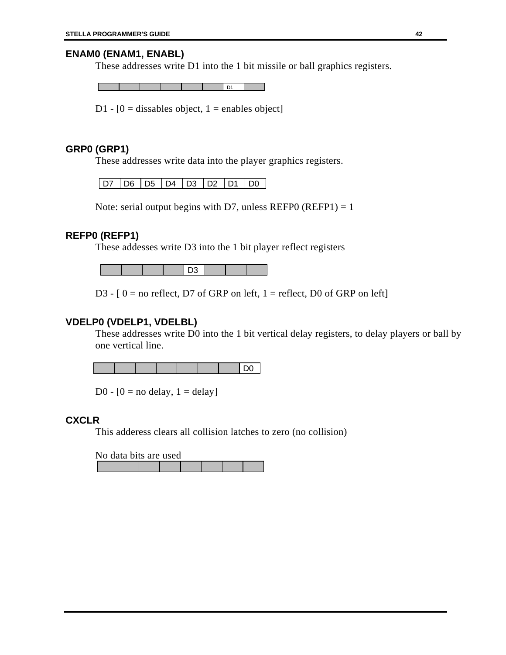### **ENAM0 (ENAM1, ENABL)**

These addresses write D1 into the 1 bit missile or ball graphics registers.

D1

D1 -  $[0 =$  dissables object, 1 = enables object]

#### **GRP0 (GRP1)**

These addresses write data into the player graphics registers.

D7 D6 D5 D4 D3 D2 D1 D0

Note: serial output begins with D7, unless REFP0 (REFP1) = 1

#### **REFP0 (REFP1)**

These addesses write D3 into the 1 bit player reflect registers

D<sub>3</sub>

D3 -  $[0]$  = no reflect, D7 of GRP on left, 1 = reflect, D0 of GRP on left

#### **VDELP0 (VDELP1, VDELBL)**

These addresses write D0 into the 1 bit vertical delay registers, to delay players or ball by one vertical line.

D0

D0 -  $[0 = no$  delay,  $1 =$  delay]

#### **CXCLR**

This adderess clears all collision latches to zero (no collision)

No data bits are used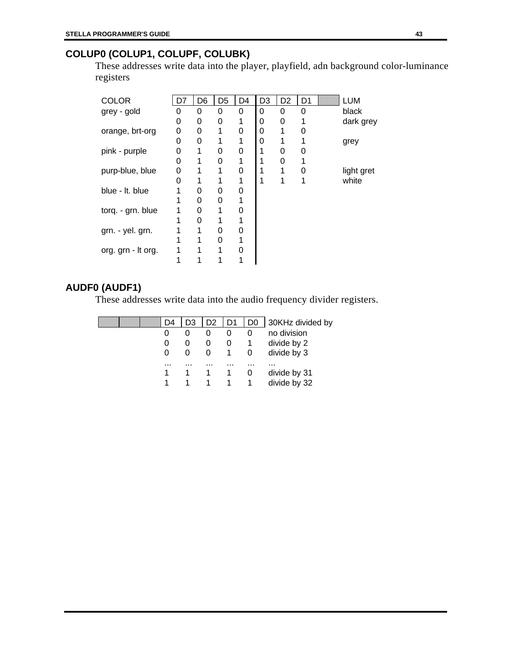## **COLUP0 (COLUP1, COLUPF, COLUBK)**

These addresses write data into the player, playfield, adn background color-luminance registers

| COLOR              |   | D6 | D <sub>5</sub> | D4 | D <sub>3</sub> | D <sub>2</sub> | D1 | <b>LUM</b> |
|--------------------|---|----|----------------|----|----------------|----------------|----|------------|
| grey - gold        | O | 0  | 0              | 0  | 0              | 0              | 0  | black      |
|                    | 0 | 0  | 0              |    | 0              | 0              |    | dark grey  |
| orange, brt-org    | 0 | 0  |                | 0  | 0              |                | ŋ  |            |
|                    | 0 | 0  |                |    | 0              | 1              |    | grey       |
| pink - purple      | 0 |    | 0              | 0  |                | 0              |    |            |
|                    | 0 |    | 0              |    |                | 0              |    |            |
| purp-blue, blue    | 0 |    |                | 0  |                |                | 0  | light gret |
|                    | O |    |                |    |                | 1              | 1  | white      |
| blue - It. blue    |   | 0  | 0              | 0  |                |                |    |            |
|                    |   | 0  | 0              |    |                |                |    |            |
| torq. - grn. blue  |   | 0  |                | ი  |                |                |    |            |
|                    |   | 0  |                |    |                |                |    |            |
| grn. - yel. grn.   |   |    | 0              | 0  |                |                |    |            |
|                    |   |    | ი              |    |                |                |    |            |
| org. grn - It org. |   |    |                |    |                |                |    |            |
|                    |   |    |                |    |                |                |    |            |

### **AUDF0 (AUDF1)**

These addresses write data into the audio frequency divider registers.

|  |  | D3           | D <sub>2</sub> | D1 | D0 | 30KHz divided by |
|--|--|--------------|----------------|----|----|------------------|
|  |  |              | 0              |    |    | no division      |
|  |  | $\mathbf{0}$ | $\mathbf{U}$   | O  |    | divide by 2      |
|  |  | $\mathbf{0}$ | $\Omega$       |    |    | divide by 3      |
|  |  | .            | .              | .  | .  |                  |
|  |  |              |                |    | O  | divide by 31     |
|  |  |              |                |    |    | divide by 32     |
|  |  |              |                |    |    |                  |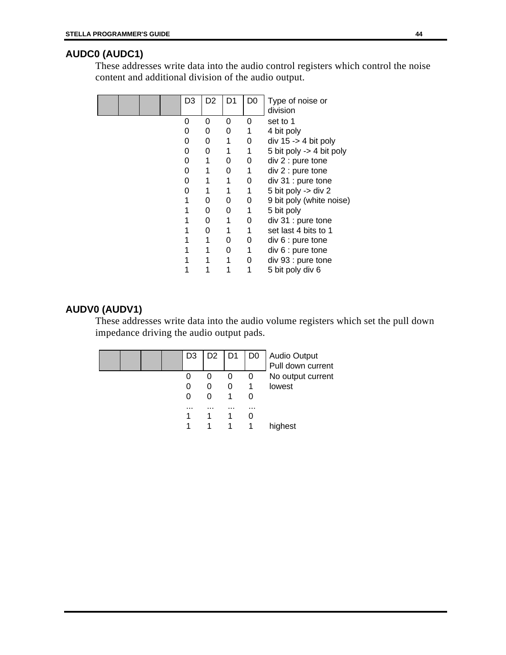# **AUDC0 (AUDC1)**

These addresses write data into the audio control registers which control the noise content and additional division of the audio output.

|  |  | D3 | D <sub>2</sub> | D1 | D0 | Type of noise or<br>division |
|--|--|----|----------------|----|----|------------------------------|
|  |  | O  | O              | 0  | 0  | set to 1                     |
|  |  | 0  | 0              | 0  |    | 4 bit poly                   |
|  |  | 0  | 0              |    | 0  | div $15 - 4$ bit poly        |
|  |  | 0  | 0              |    | 1  | 5 bit poly -> 4 bit poly     |
|  |  | 0  |                | 0  | 0  | div 2 : pure tone            |
|  |  | 0  |                | 0  | 1  | div 2 : pure tone            |
|  |  | 0  |                |    | 0  | div 31 : pure tone           |
|  |  | ი  |                |    | 1  | 5 bit poly -> div 2          |
|  |  |    | O              | O  | 0  | 9 bit poly (white noise)     |
|  |  |    | O              | 0  |    | 5 bit poly                   |
|  |  |    | O              |    | 0  | div 31 : pure tone           |
|  |  |    | O              |    | 1  | set last 4 bits to 1         |
|  |  |    |                | Ω  | 0  | div 6 : pure tone            |
|  |  |    |                | O  | 1  | div 6 : pure tone            |
|  |  |    |                |    | 0  | div 93 : pure tone           |
|  |  |    |                |    |    | 5 bit poly div 6             |

### **AUDV0 (AUDV1)**

These addresses write data into the audio volume registers which set the pull down impedance driving the audio output pads.

|  |  | D3 | D <sub>2</sub> | D <sub>1</sub> | D <sub>0</sub> | Audio Output<br>Pull down current |
|--|--|----|----------------|----------------|----------------|-----------------------------------|
|  |  |    | 0              | O              | 0              | No output current                 |
|  |  | Ü  | 0              | Ω              |                | lowest                            |
|  |  |    | $\mathbf{0}$   |                |                |                                   |
|  |  |    | .              |                | $\cdots$       |                                   |
|  |  |    |                |                |                |                                   |
|  |  |    |                |                |                | highest                           |
|  |  |    |                |                |                |                                   |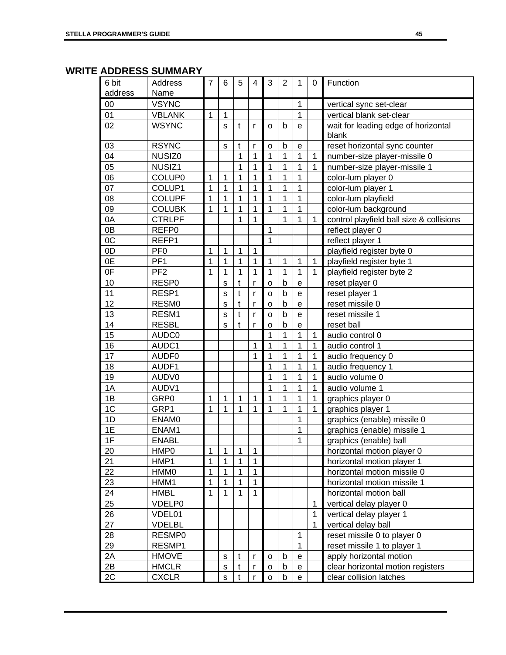### **WRITE ADDRESS SUMMARY**

| 6 bit          | Address          | 7              | 6            | 5             | 4              | 3              | $\overline{2}$ | 1              | 0            | Function                                     |  |
|----------------|------------------|----------------|--------------|---------------|----------------|----------------|----------------|----------------|--------------|----------------------------------------------|--|
| address        | Name             |                |              |               |                |                |                |                |              |                                              |  |
| 00             | <b>VSYNC</b>     |                |              |               |                |                |                | 1              |              | vertical sync set-clear                      |  |
| 01             | <b>VBLANK</b>    | 1              | 1            |               |                |                |                | $\mathbf{1}$   |              | vertical blank set-clear                     |  |
| 02             | <b>WSYNC</b>     |                | S            | t             | $\mathsf{r}$   | o              | b              | e              |              | wait for leading edge of horizontal<br>blank |  |
| 03             | <b>RSYNC</b>     |                | $\mathbf S$  | t             | r              | $\mathsf{o}$   | b              | е              |              | reset horizontal sync counter                |  |
| 04             | NUSIZ0           |                |              | 1             | 1              | 1              | 1              | 1              | 1            | number-size player-missile 0                 |  |
| 05             | NUSIZ1           |                |              | 1             | 1              | 1              | $\mathbf 1$    | $\mathbf 1$    | $\mathbf{1}$ | number-size player-missile 1                 |  |
| 06             | <b>COLUP0</b>    | 1              | 1            | 1             | 1              | $\mathbf 1$    | $\mathbf{1}$   | $\mathbf 1$    |              | color-lum player 0                           |  |
| 07             | COLUP1           | $\mathbf 1$    | $\mathbf 1$  | 1             | 1              | $\mathbf 1$    | $\mathbf{1}$   | $\mathbf{1}$   |              | color-lum player 1                           |  |
| 08             | <b>COLUPF</b>    | $\mathbf 1$    | 1            | 1             | $\mathbf 1$    | $\mathbf 1$    | $\mathbf 1$    | $\mathbf 1$    |              | color-lum playfield                          |  |
| 09             | <b>COLUBK</b>    | 1              | 1            | 1             | $\overline{1}$ | $\overline{1}$ | $\mathbf{1}$   | $\mathbf 1$    |              | color-lum background                         |  |
| 0A             | <b>CTRLPF</b>    |                |              | 1             | 1              |                | $\mathbf{1}$   | $\mathbf 1$    | $\mathbf{1}$ | control playfield ball size & collisions     |  |
| 0B             | REFP0            |                |              |               |                | $\mathbf 1$    |                |                |              | reflect player 0                             |  |
| 0C             | REFP1            |                |              |               |                | $\mathbf 1$    |                |                |              | reflect player 1                             |  |
| 0D             | PF <sub>0</sub>  | 1              | 1            | 1             | 1              |                |                |                |              | playfield register byte 0                    |  |
| 0E             | PF <sub>1</sub>  | 1              | 1            | 1             | 1              | 1              | $\mathbf{1}$   | $\mathbf{1}$   | $\mathbf{1}$ | playfield register byte 1                    |  |
| 0F             | PF <sub>2</sub>  | 1              | 1            | 1             | 1              | $\mathbf 1$    | $\mathbf{1}$   | $\mathbf{1}$   | $\mathbf{1}$ | playfield register byte 2                    |  |
| 10             | RESP0            |                | S            | $\mathfrak t$ | $\mathsf{r}$   | $\circ$        | $\mathsf b$    | $\mathsf{e}$   |              | reset player 0                               |  |
| 11             | RESP1            |                | S            | t             | $\mathsf{r}$   | $\circ$        | $\mathsf b$    | $\mathsf{e}$   |              | reset player 1                               |  |
| 12             | RESM0            |                | S            | t             | r              | $\circ$        | $\mathsf b$    | $\mathsf{e}$   |              | reset missile 0                              |  |
| 13             | RESM1            |                | S            | t             | $\mathsf{r}$   | $\circ$        | $\mathsf b$    | e              |              | reset missile 1                              |  |
| 14             | <b>RESBL</b>     |                | S            | t             | $\mathsf{r}$   | $\circ$        | $\mathsf b$    | $\mathsf{e}$   |              | reset ball                                   |  |
| 15             | AUDC0            |                |              |               |                | 1              | 1              | 1              | 1            | audio control 0                              |  |
| 16             | AUDC1            |                |              |               | 1              | 1              | 1              | $\mathbf 1$    | $\mathbf{1}$ | audio control 1                              |  |
| 17             | AUDF0            |                |              |               | $\mathbf 1$    | $\mathbf 1$    | $\mathbf{1}$   | $\mathbf 1$    | $\mathbf{1}$ | audio frequency 0                            |  |
| 18             | AUDF1            |                |              |               |                | $\mathbf{1}$   | $\mathbf{1}$   | $\mathbf 1$    | $\mathbf{1}$ | audio frequency 1                            |  |
| 19             | AUDV0            |                |              |               |                | 1              | $\mathbf 1$    | $\mathbf 1$    | $\mathbf 1$  | audio volume 0                               |  |
| 1A             | AUDV1            |                |              |               |                | $\mathbf 1$    | $\mathbf{1}$   | $\overline{1}$ | $\mathbf{1}$ | audio volume 1                               |  |
| 1B             | GRP <sub>0</sub> | 1              | 1            | 1             | 1              | $\mathbf 1$    | $\mathbf{1}$   | $\mathbf 1$    | $\mathbf{1}$ | graphics player 0                            |  |
| 1 <sup>C</sup> | GRP1             | $\overline{1}$ | 1            | 1             | $\mathbf 1$    | $\mathbf{1}$   | $\mathbf{1}$   | $\mathbf 1$    | $\mathbf{1}$ | graphics player 1                            |  |
| 1D             | <b>ENAMO</b>     |                |              |               |                |                |                | 1              |              | graphics (enable) missile 0                  |  |
| 1E             | ENAM1            |                |              |               |                |                |                | 1              |              | graphics (enable) missile 1                  |  |
| 1F             | <b>ENABL</b>     |                |              |               |                |                |                | $\mathbf{1}$   |              | graphics (enable) ball                       |  |
| 20             | HMP <sub>0</sub> | 1              | 1            | 1             | 1              |                |                |                |              | horizontal motion player 0                   |  |
| 21             | HMP1             | 1              | 1            | 1             | 1              |                |                |                |              | horizontal motion player 1                   |  |
| 22             | <b>HMM0</b>      | 1              | 1            | 1             | $\mathbf{1}$   |                |                |                |              | horizontal motion missile 0                  |  |
| 23             | HMM1             | 1              | 1            | 1             | $\mathbf{1}$   |                |                |                |              | horizontal motion missile 1                  |  |
| 24             | <b>HMBL</b>      | 1              | 1            | 1             | $\mathbf{1}$   |                |                |                |              | horizontal motion ball                       |  |
| 25             | VDELP0           |                |              |               |                |                |                |                | 1            | vertical delay player 0                      |  |
| 26             | VDEL01           |                |              |               |                |                |                |                | $\mathbf 1$  | vertical delay player 1                      |  |
| 27             | <b>VDELBL</b>    |                |              |               |                |                |                |                | $\mathbf{1}$ | vertical delay ball                          |  |
| 28             | RESMP0           |                |              |               |                |                |                | $\mathbf 1$    |              | reset missile 0 to player 0                  |  |
| 29             | RESMP1           |                |              |               |                |                |                | $\mathbf{1}$   |              | reset missile 1 to player 1                  |  |
| 2A             | <b>HMOVE</b>     |                | s            | t             | $\mathsf{r}$   | o              | b              | e              |              | apply horizontal motion                      |  |
| 2B             | <b>HMCLR</b>     |                | $\mathbf S$  | t             | r              | $\mathsf{o}$   | $\mathsf b$    | e              |              | clear horizontal motion registers            |  |
| 2C             | <b>CXCLR</b>     |                | $\mathbf{s}$ | $\mathsf{t}$  | $\mathsf{r}$   | $\mathsf{o}$   | $\sf b$        | e              |              | clear collision latches                      |  |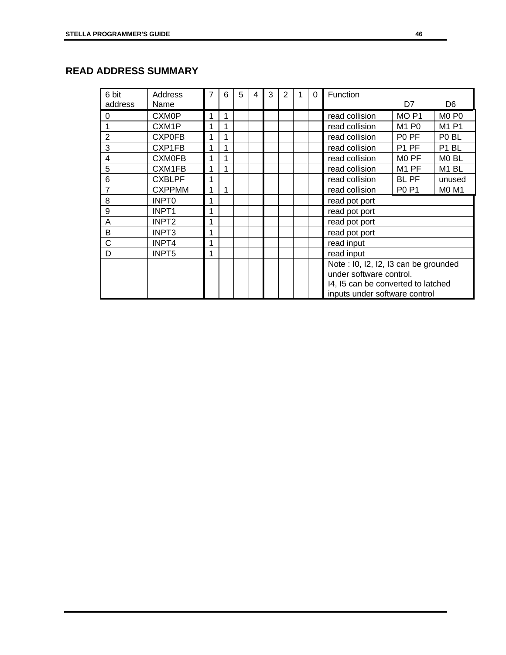| 6 bit          | Address            | 7            | 6 | 5 | 4 | 3 | 2 |  | 0 | Function                             |                               |                               |  |
|----------------|--------------------|--------------|---|---|---|---|---|--|---|--------------------------------------|-------------------------------|-------------------------------|--|
| address        | Name               |              |   |   |   |   |   |  |   |                                      | D7                            | D <sub>6</sub>                |  |
| $\overline{0}$ | <b>CXM0P</b>       | 1            | 1 |   |   |   |   |  |   | read collision                       | MO <sub>P1</sub>              | M <sub>0</sub> P <sub>0</sub> |  |
|                | CXM <sub>1</sub> P | 1            | 1 |   |   |   |   |  |   | read collision                       | M <sub>1</sub> P <sub>0</sub> | M1 P1                         |  |
| $\overline{2}$ | <b>CXP0FB</b>      | 1            | 1 |   |   |   |   |  |   | read collision                       | P <sub>0</sub> PF             | P <sub>0</sub> BL             |  |
| 3              | CXP1FB             | 1            | 1 |   |   |   |   |  |   | read collision                       | P1 PF                         | P1 BL                         |  |
| $\overline{4}$ | <b>CXM0FB</b>      | $\mathbf{1}$ |   |   |   |   |   |  |   | read collision                       | MO PF                         | M <sub>0</sub> BL             |  |
| 5              | CXM1FB             | 1            |   |   |   |   |   |  |   | read collision                       | M <sub>1</sub> PF             | M <sub>1</sub> BL             |  |
| 6              | <b>CXBLPF</b>      | 1            |   |   |   |   |   |  |   | read collision                       | <b>BL PF</b>                  | unused                        |  |
| $\overline{7}$ | <b>CXPPMM</b>      | 1            | 1 |   |   |   |   |  |   | read collision                       | <b>P0 P1</b>                  | <b>MO M1</b>                  |  |
| 8              | <b>INPTO</b>       | 1            |   |   |   |   |   |  |   | read pot port                        |                               |                               |  |
| 9              | INPT <sub>1</sub>  | 1            |   |   |   |   |   |  |   | read pot port                        |                               |                               |  |
| $\overline{A}$ | INPT <sub>2</sub>  | 1            |   |   |   |   |   |  |   | read pot port                        |                               |                               |  |
| B              | INPT <sub>3</sub>  | 1            |   |   |   |   |   |  |   | read pot port                        |                               |                               |  |
| C              | INPT4              | 1            |   |   |   |   |   |  |   | read input                           |                               |                               |  |
| D              | INPT5              | 1            |   |   |   |   |   |  |   | read input                           |                               |                               |  |
|                |                    |              |   |   |   |   |   |  |   | Note: I0, I2, I2, I3 can be grounded |                               |                               |  |
|                |                    |              |   |   |   |   |   |  |   | under software control.              |                               |                               |  |
|                |                    |              |   |   |   |   |   |  |   | 14, 15 can be converted to latched   |                               |                               |  |
|                |                    |              |   |   |   |   |   |  |   | inputs under software control        |                               |                               |  |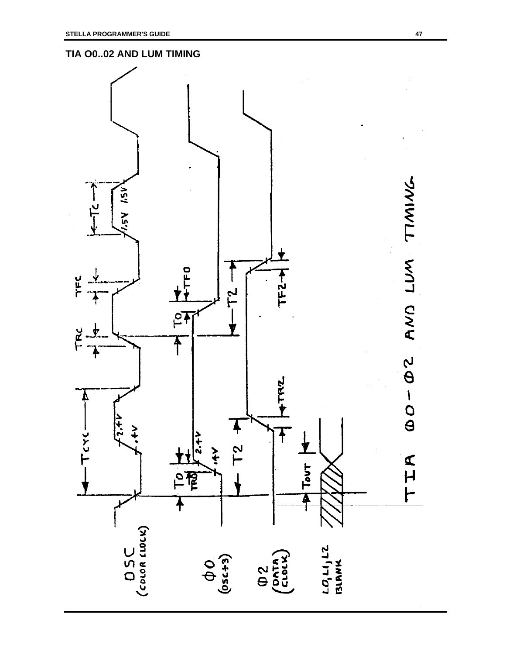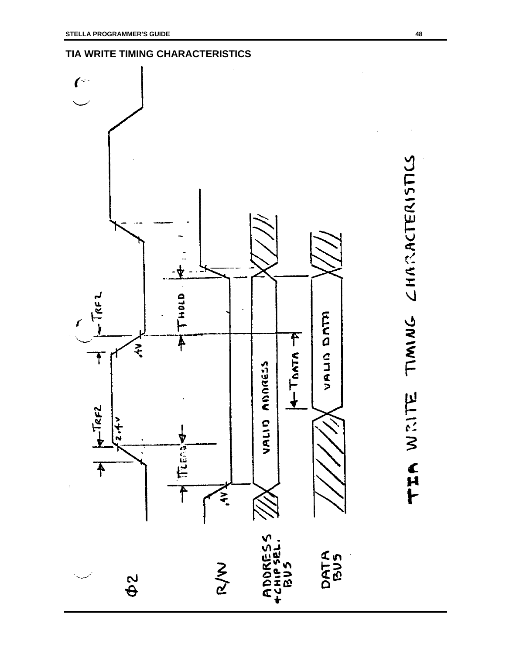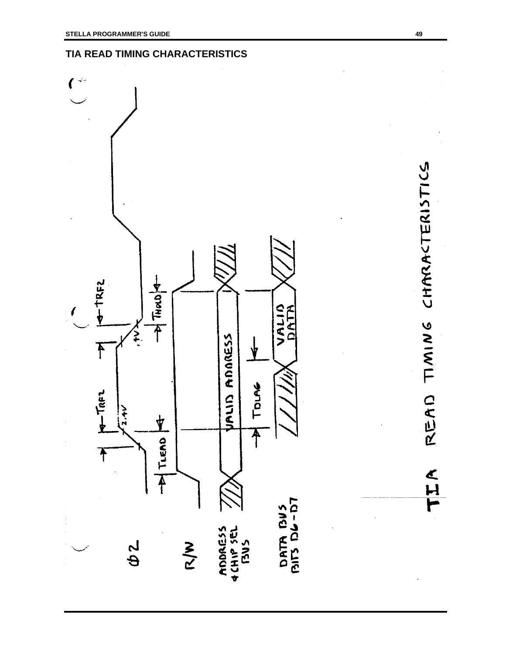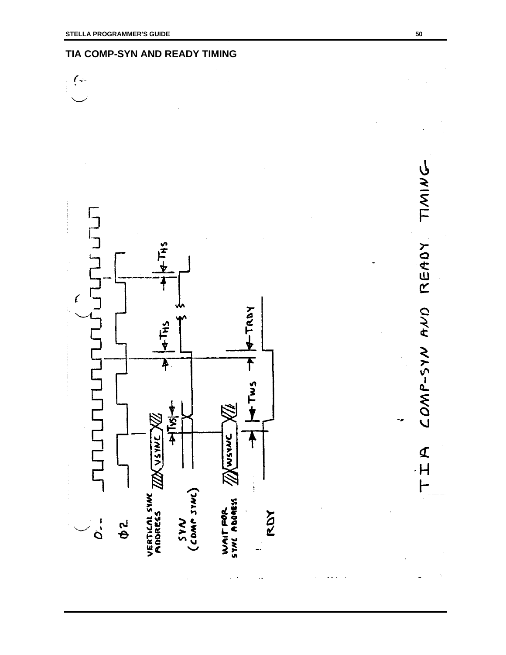### **TIA COMP-SYN AND READY TIMING**

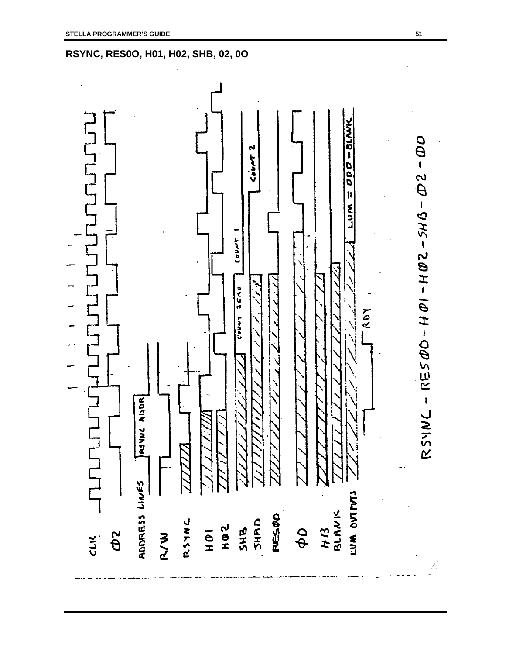

**RSYNC, RES0O, H01, H02, SHB, 02, 0O**